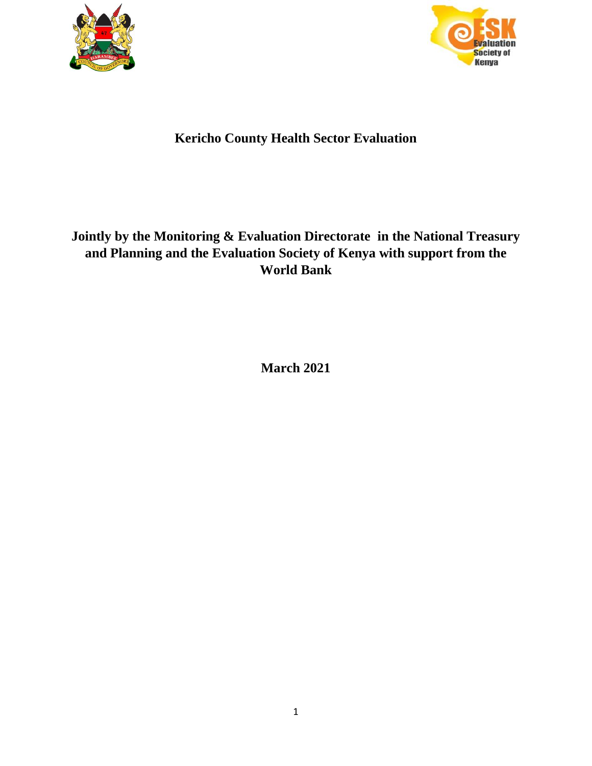



# **Kericho County Health Sector Evaluation**

# **Jointly by the Monitoring & Evaluation Directorate in the National Treasury and Planning and the Evaluation Society of Kenya with support from the World Bank**

**March 2021**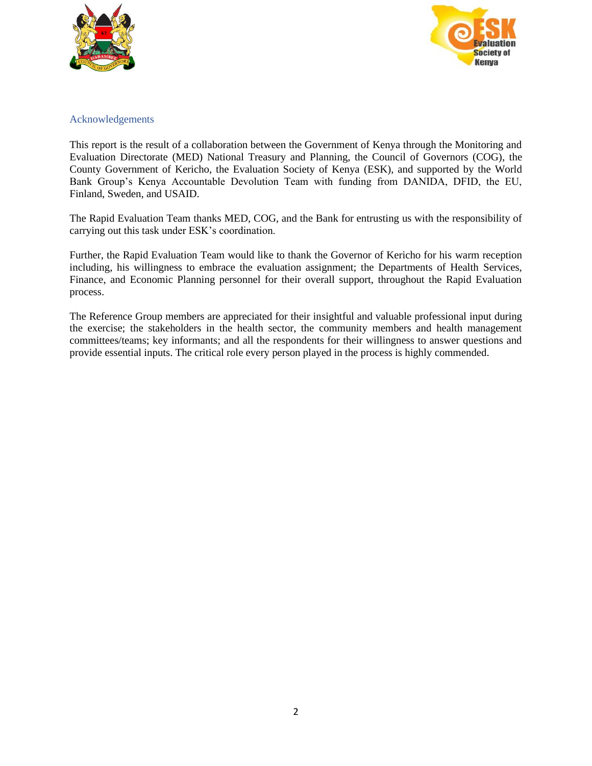



## <span id="page-1-0"></span>Acknowledgements

This report is the result of a collaboration between the Government of Kenya through the Monitoring and Evaluation Directorate (MED) National Treasury and Planning, the Council of Governors (COG), the County Government of Kericho, the Evaluation Society of Kenya (ESK), and supported by the World Bank Group's Kenya Accountable Devolution Team with funding from DANIDA, DFID, the EU, Finland, Sweden, and USAID.

The Rapid Evaluation Team thanks MED, COG, and the Bank for entrusting us with the responsibility of carrying out this task under ESK's coordination.

Further, the Rapid Evaluation Team would like to thank the Governor of Kericho for his warm reception including, his willingness to embrace the evaluation assignment; the Departments of Health Services, Finance, and Economic Planning personnel for their overall support, throughout the Rapid Evaluation process.

The Reference Group members are appreciated for their insightful and valuable professional input during the exercise; the stakeholders in the health sector, the community members and health management committees/teams; key informants; and all the respondents for their willingness to answer questions and provide essential inputs. The critical role every person played in the process is highly commended.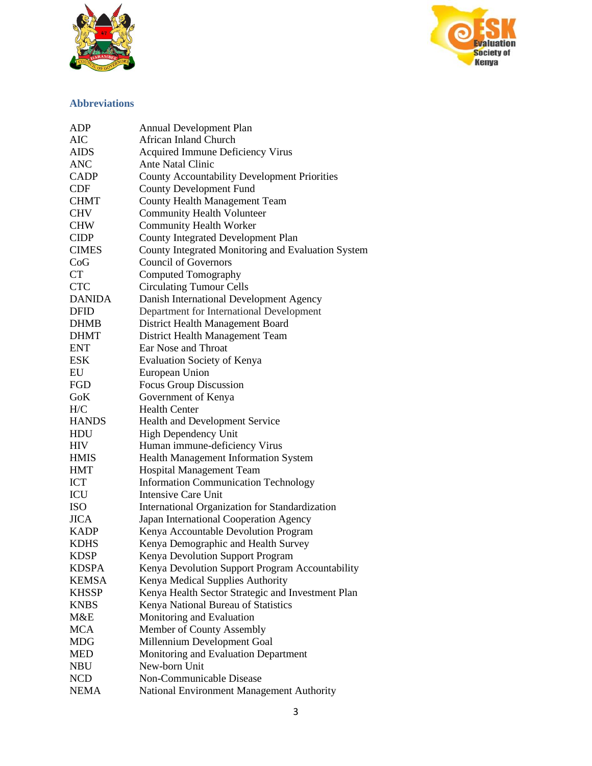



## **Abbreviations**

| ADP           | <b>Annual Development Plan</b>                      |
|---------------|-----------------------------------------------------|
| AIC           | <b>African Inland Church</b>                        |
| <b>AIDS</b>   | <b>Acquired Immune Deficiency Virus</b>             |
| ANC           | Ante Natal Clinic                                   |
| <b>CADP</b>   | <b>County Accountability Development Priorities</b> |
| <b>CDF</b>    | <b>County Development Fund</b>                      |
| <b>CHMT</b>   | County Health Management Team                       |
| <b>CHV</b>    | <b>Community Health Volunteer</b>                   |
| <b>CHW</b>    | <b>Community Health Worker</b>                      |
| <b>CIDP</b>   | <b>County Integrated Development Plan</b>           |
| <b>CIMES</b>  | County Integrated Monitoring and Evaluation System  |
| CoG           | <b>Council of Governors</b>                         |
| CT            | Computed Tomography                                 |
| <b>CTC</b>    | <b>Circulating Tumour Cells</b>                     |
| <b>DANIDA</b> | Danish International Development Agency             |
| <b>DFID</b>   | Department for International Development            |
| <b>DHMB</b>   | District Health Management Board                    |
| <b>DHMT</b>   | District Health Management Team                     |
| <b>ENT</b>    | Ear Nose and Throat                                 |
| <b>ESK</b>    | <b>Evaluation Society of Kenya</b>                  |
| EU            | European Union                                      |
| FGD           | Focus Group Discussion                              |
| GoK           | Government of Kenya                                 |
| H/C           | <b>Health Center</b>                                |
| <b>HANDS</b>  | Health and Development Service                      |
| <b>HDU</b>    | High Dependency Unit                                |
| <b>HIV</b>    | Human immune-deficiency Virus                       |
| <b>HMIS</b>   | Health Management Information System                |
| <b>HMT</b>    | Hospital Management Team                            |
| <b>ICT</b>    | <b>Information Communication Technology</b>         |
| ICU           | <b>Intensive Care Unit</b>                          |
| <b>ISO</b>    | International Organization for Standardization      |
| <b>JICA</b>   | Japan International Cooperation Agency              |
| <b>KADP</b>   | Kenya Accountable Devolution Program                |
| <b>KDHS</b>   | Kenya Demographic and Health Survey                 |
| <b>KDSP</b>   | Kenya Devolution Support Program                    |
| <b>KDSPA</b>  | Kenya Devolution Support Program Accountability     |
| <b>KEMSA</b>  | Kenya Medical Supplies Authority                    |
| <b>KHSSP</b>  | Kenya Health Sector Strategic and Investment Plan   |
| <b>KNBS</b>   | Kenya National Bureau of Statistics                 |
| M&E           | Monitoring and Evaluation                           |
| <b>MCA</b>    | Member of County Assembly                           |
| <b>MDG</b>    | Millennium Development Goal                         |
| <b>MED</b>    | Monitoring and Evaluation Department                |
| <b>NBU</b>    | New-born Unit                                       |
| <b>NCD</b>    | Non-Communicable Disease                            |
| <b>NEMA</b>   | National Environment Management Authority           |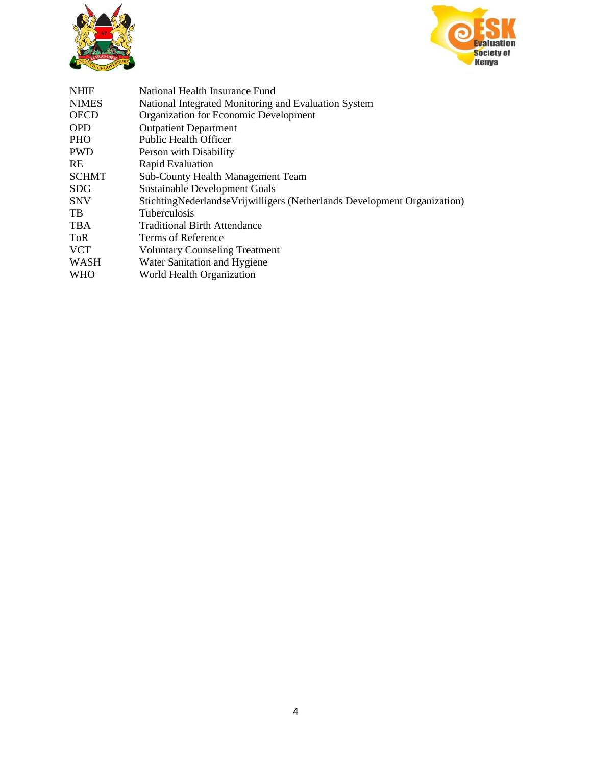



| <b>NHIF</b>  | National Health Insurance Fund                                             |
|--------------|----------------------------------------------------------------------------|
| <b>NIMES</b> | National Integrated Monitoring and Evaluation System                       |
| <b>OECD</b>  | Organization for Economic Development                                      |
| <b>OPD</b>   | <b>Outpatient Department</b>                                               |
| <b>PHO</b>   | Public Health Officer                                                      |
| <b>PWD</b>   | Person with Disability                                                     |
| <b>RE</b>    | Rapid Evaluation                                                           |
| <b>SCHMT</b> | <b>Sub-County Health Management Team</b>                                   |
| <b>SDG</b>   | <b>Sustainable Development Goals</b>                                       |
| <b>SNV</b>   | Stichting Nederlandse Vrijwilligers (Netherlands Development Organization) |
| TB.          | <b>Tuberculosis</b>                                                        |
| <b>TBA</b>   | <b>Traditional Birth Attendance</b>                                        |
| <b>ToR</b>   | Terms of Reference                                                         |
| <b>VCT</b>   | <b>Voluntary Counseling Treatment</b>                                      |
| WASH         | Water Sanitation and Hygiene                                               |
| <b>WHO</b>   | World Health Organization                                                  |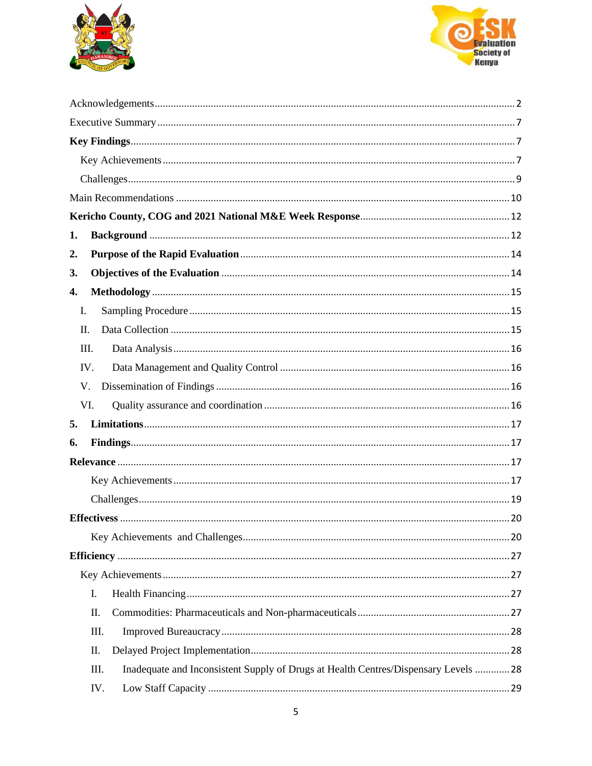



| 1.                                                                                          |  |
|---------------------------------------------------------------------------------------------|--|
| 2.                                                                                          |  |
| 3.                                                                                          |  |
| 4.                                                                                          |  |
| I.                                                                                          |  |
| П.                                                                                          |  |
| Ш.                                                                                          |  |
| IV.                                                                                         |  |
| V.                                                                                          |  |
| VI.                                                                                         |  |
| 5.                                                                                          |  |
| 6.                                                                                          |  |
|                                                                                             |  |
|                                                                                             |  |
|                                                                                             |  |
|                                                                                             |  |
|                                                                                             |  |
|                                                                                             |  |
|                                                                                             |  |
| I.                                                                                          |  |
| Π.                                                                                          |  |
| III.                                                                                        |  |
| Π.                                                                                          |  |
| Inadequate and Inconsistent Supply of Drugs at Health Centres/Dispensary Levels  28<br>III. |  |
| IV.                                                                                         |  |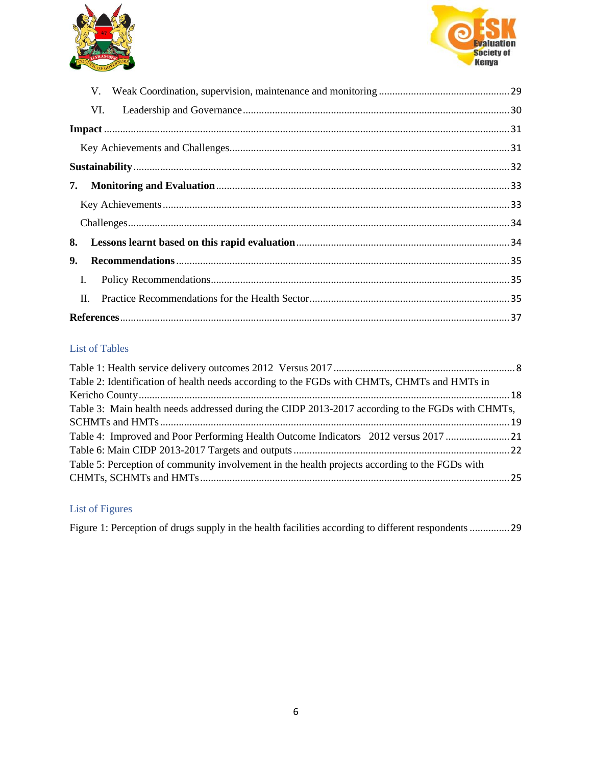



| VI.            |  |
|----------------|--|
|                |  |
|                |  |
|                |  |
| 7.             |  |
|                |  |
|                |  |
| 8.             |  |
| 9.             |  |
| $\mathbf{I}$ . |  |
| II.            |  |
|                |  |

## List of Tables

| Table 2: Identification of health needs according to the FGDs with CHMTs, CHMTs and HMTs in      |  |
|--------------------------------------------------------------------------------------------------|--|
|                                                                                                  |  |
| Table 3: Main health needs addressed during the CIDP 2013-2017 according to the FGDs with CHMTs, |  |
|                                                                                                  |  |
| Table 4: Improved and Poor Performing Health Outcome Indicators 2012 versus 2017 21              |  |
|                                                                                                  |  |
| Table 5: Perception of community involvement in the health projects according to the FGDs with   |  |
|                                                                                                  |  |
|                                                                                                  |  |

## List of Figures

Figure 1: Perception of drugs supply in the health facilities according to different respondents .............. 29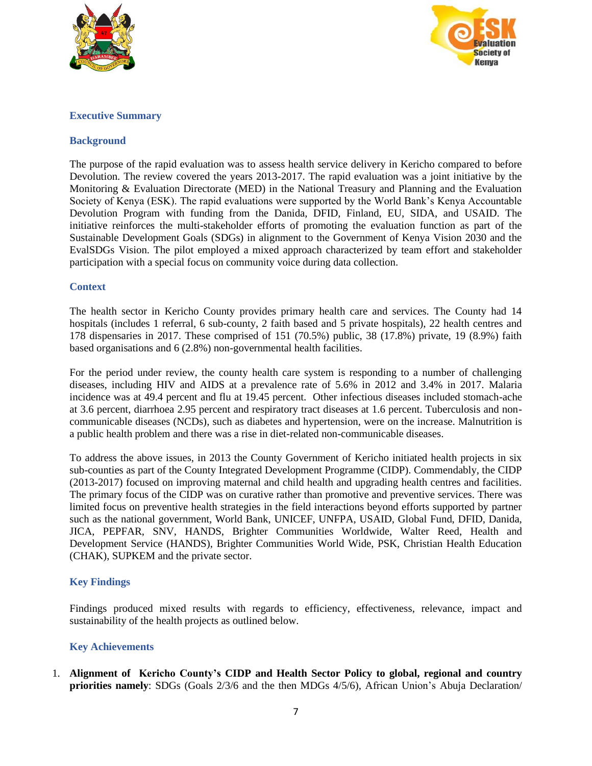



#### <span id="page-6-0"></span>**Executive Summary**

#### **Background**

The purpose of the rapid evaluation was to assess health service delivery in Kericho compared to before Devolution. The review covered the years 2013-2017. The rapid evaluation was a joint initiative by the Monitoring & Evaluation Directorate (MED) in the National Treasury and Planning and the Evaluation Society of Kenya (ESK). The rapid evaluations were supported by the World Bank's Kenya Accountable Devolution Program with funding from the Danida, DFID, Finland, EU, SIDA, and USAID. The initiative reinforces the multi-stakeholder efforts of promoting the evaluation function as part of the Sustainable Development Goals (SDGs) in alignment to the Government of Kenya Vision 2030 and the EvalSDGs Vision. The pilot employed a mixed approach characterized by team effort and stakeholder participation with a special focus on community voice during data collection.

#### **Context**

The health sector in Kericho County provides primary health care and services. The County had 14 hospitals (includes 1 referral, 6 sub-county, 2 faith based and 5 private hospitals), 22 health centres and 178 dispensaries in 2017. These comprised of 151 (70.5%) public, 38 (17.8%) private, 19 (8.9%) faith based organisations and 6 (2.8%) non-governmental health facilities.

For the period under review, the county health care system is responding to a number of challenging diseases, including HIV and AIDS at a prevalence rate of 5.6% in 2012 and 3.4% in 2017. Malaria incidence was at 49.4 percent and flu at 19.45 percent. Other infectious diseases included stomach-ache at 3.6 percent, diarrhoea 2.95 percent and respiratory tract diseases at 1.6 percent. Tuberculosis and noncommunicable diseases (NCDs), such as diabetes and hypertension, were on the increase. Malnutrition is a public health problem and there was a rise in diet-related non-communicable diseases.

To address the above issues, in 2013 the County Government of Kericho initiated health projects in six sub-counties as part of the County Integrated Development Programme (CIDP). Commendably, the CIDP (2013-2017) focused on improving maternal and child health and upgrading health centres and facilities. The primary focus of the CIDP was on curative rather than promotive and preventive services. There was limited focus on preventive health strategies in the field interactions beyond efforts supported by partner such as the national government, World Bank, UNICEF, UNFPA, USAID, Global Fund, DFID, Danida, JICA, PEPFAR, SNV, HANDS, Brighter Communities Worldwide, Walter Reed, Health and Development Service (HANDS), Brighter Communities World Wide, PSK, Christian Health Education (CHAK), SUPKEM and the private sector.

## <span id="page-6-1"></span>**Key Findings**

Findings produced mixed results with regards to efficiency, effectiveness, relevance, impact and sustainability of the health projects as outlined below.

## <span id="page-6-2"></span>**Key Achievements**

1. **Alignment of Kericho County's CIDP and Health Sector Policy to global, regional and country priorities namely**: SDGs (Goals 2/3/6 and the then MDGs 4/5/6), African Union's Abuja Declaration/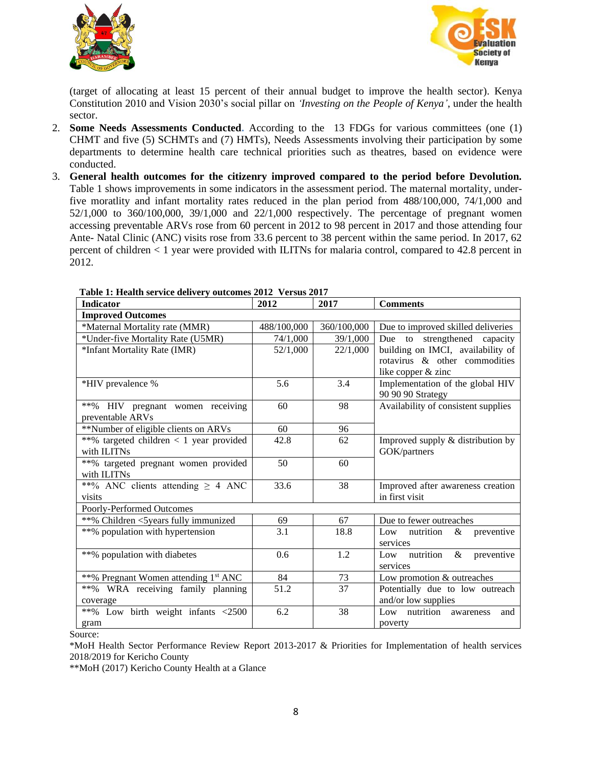



(target of allocating at least 15 percent of their annual budget to improve the health sector). Kenya Constitution 2010 and Vision 2030's social pillar on *'Investing on the People of Kenya'*, under the health sector.

- 2. **Some Needs Assessments Conducted.** According to the 13 FDGs for various committees (one (1) CHMT and five (5) SCHMTs and (7) HMTs), Needs Assessments involving their participation by some departments to determine health care technical priorities such as theatres, based on evidence were conducted.
- 3. **General health outcomes for the citizenry improved compared to the period before Devolution.**  Table 1 shows improvements in some indicators in the assessment period. The maternal mortality, underfive moratlity and infant mortality rates reduced in the plan period from 488/100,000, 74/1,000 and 52/1,000 to 360/100,000, 39/1,000 and 22/1,000 respectively. The percentage of pregnant women accessing preventable ARVs rose from 60 percent in 2012 to 98 percent in 2017 and those attending four Ante- Natal Clinic (ANC) visits rose from 33.6 percent to 38 percent within the same period. In 2017, 62 percent of children < 1 year were provided with ILITNs for malaria control, compared to 42.8 percent in 2012.

| <b>Indicator</b>                                 | 2012        | 2017        | <b>Comments</b>                     |
|--------------------------------------------------|-------------|-------------|-------------------------------------|
| <b>Improved Outcomes</b>                         |             |             |                                     |
| *Maternal Mortality rate (MMR)                   | 488/100,000 | 360/100,000 | Due to improved skilled deliveries  |
| *Under-five Mortality Rate (U5MR)                | 74/1,000    | 39/1,000    | Due to strengthened capacity        |
| *Infant Mortality Rate (IMR)                     | 52/1,000    | 22/1,000    | building on IMCI, availability of   |
|                                                  |             |             | rotavirus & other commodities       |
|                                                  |             |             | like copper & zinc                  |
| *HIV prevalence %                                | 5.6         | 3.4         | Implementation of the global HIV    |
|                                                  |             |             | 90 90 90 Strategy                   |
| **% HIV pregnant women receiving                 | 60          | 98          | Availability of consistent supplies |
| preventable ARVs                                 |             |             |                                     |
| **Number of eligible clients on ARVs             | 60          | 96          |                                     |
| **% targeted children < 1 year provided          | 42.8        | 62          | Improved supply & distribution by   |
| with ILITNs                                      |             |             | GOK/partners                        |
| **% targeted pregnant women provided             | 50          | 60          |                                     |
| with ILITNs                                      |             |             |                                     |
| **% ANC clients attending $\geq$ 4 ANC           | 33.6        | 38          | Improved after awareness creation   |
| visits                                           |             |             | in first visit                      |
| Poorly-Performed Outcomes                        |             |             |                                     |
| **% Children <5years fully immunized             | 69          | 67          | Due to fewer outreaches             |
| **% population with hypertension                 | 3.1         | 18.8        | nutrition<br>Low<br>&<br>preventive |
|                                                  |             |             | services                            |
| **% population with diabetes                     | 0.6         | 1.2         | Low nutrition<br>$\&$<br>preventive |
|                                                  |             |             | services                            |
| **% Pregnant Women attending 1 <sup>st</sup> ANC | 84          | 73          | Low promotion & outreaches          |
| **% WRA receiving family planning                | 51.2        | 37          | Potentially due to low outreach     |
| coverage                                         |             |             | and/or low supplies                 |
| **% Low birth weight infants <2500               | 6.2         | 38          | Low nutrition awareness<br>and      |
| gram                                             |             |             | poverty                             |

<span id="page-7-0"></span> **Table 1: Health service delivery outcomes 2012 Versus 2017**

Source:

\*MoH Health Sector Performance Review Report 2013-2017 & Priorities for Implementation of health services 2018/2019 for Kericho County

\*\*MoH (2017) Kericho County Health at a Glance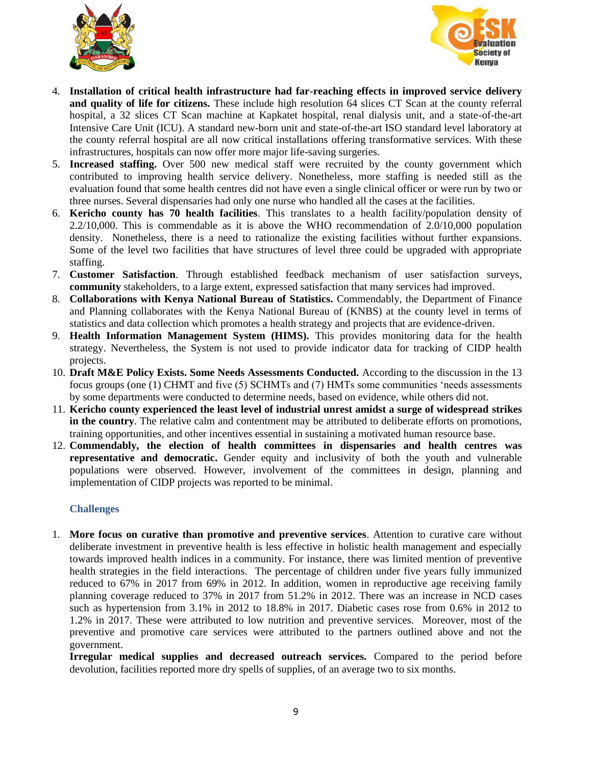



- 4. **Installation of critical health infrastructure had far-reaching effects in improved service delivery and quality of life for citizens.** These include high resolution 64 slices CT Scan at the county referral hospital, a 32 slices CT Scan machine at Kapkatet hospital, renal dialysis unit, and a state-of-the-art Intensive Care Unit (ICU). A standard new-born unit and state-of-the-art ISO standard level laboratory at the county referral hospital are all now critical installations offering transformative services. With these infrastructures, hospitals can now offer more major life-saving surgeries.
- 5. **Increased staffing.** Over 500 new medical staff were recruited by the county government which contributed to improving health service delivery. Nonetheless, more staffing is needed still as the evaluation found that some health centres did not have even a single clinical officer or were run by two or three nurses. Several dispensaries had only one nurse who handled all the cases at the facilities.
- 6. **Kericho county has 70 health facilities**. This translates to a health facility/population density of 2.2/10,000. This is commendable as it is above the WHO recommendation of 2.0/10,000 population density. Nonetheless, there is a need to rationalize the existing facilities without further expansions. Some of the level two facilities that have structures of level three could be upgraded with appropriate staffing.
- 7. **Customer Satisfaction**. Through established feedback mechanism of user satisfaction surveys, **community** stakeholders, to a large extent, expressed satisfaction that many services had improved.
- 8. **Collaborations with Kenya National Bureau of Statistics.** Commendably, the Department of Finance and Planning collaborates with the Kenya National Bureau of (KNBS) at the county level in terms of statistics and data collection which promotes a health strategy and projects that are evidence-driven.
- 9. **Health Information Management System (HIMS).** This provides monitoring data for the health strategy. Nevertheless, the System is not used to provide indicator data for tracking of CIDP health projects.
- 10. **Draft M&E Policy Exists. Some Needs Assessments Conducted.** According to the discussion in the 13 focus groups (one (1) CHMT and five (5) SCHMTs and (7) HMTs some communities 'needs assessments by some departments were conducted to determine needs, based on evidence, while others did not.
- 11. **Kericho county experienced the least level of industrial unrest amidst a surge of widespread strikes in the country**. The relative calm and contentment may be attributed to deliberate efforts on promotions, training opportunities, and other incentives essential in sustaining a motivated human resource base.
- 12. **Commendably, the election of health committees in dispensaries and health centres was representative and democratic.** Gender equity and inclusivity of both the youth and vulnerable populations were observed. However, involvement of the committees in design, planning and implementation of CIDP projects was reported to be minimal.

#### <span id="page-8-0"></span>**Challenges**

1. **More focus on curative than promotive and preventive services**. Attention to curative care without deliberate investment in preventive health is less effective in holistic health management and especially towards improved health indices in a community. For instance, there was limited mention of preventive health strategies in the field interactions. The percentage of children under five years fully immunized reduced to 67% in 2017 from 69% in 2012. In addition, women in reproductive age receiving family planning coverage reduced to 37% in 2017 from 51.2% in 2012. There was an increase in NCD cases such as hypertension from 3.1% in 2012 to 18.8% in 2017. Diabetic cases rose from 0.6% in 2012 to 1.2% in 2017. These were attributed to low nutrition and preventive services. Moreover, most of the preventive and promotive care services were attributed to the partners outlined above and not the government.

**Irregular medical supplies and decreased outreach services.** Compared to the period before devolution, facilities reported more dry spells of supplies, of an average two to six months.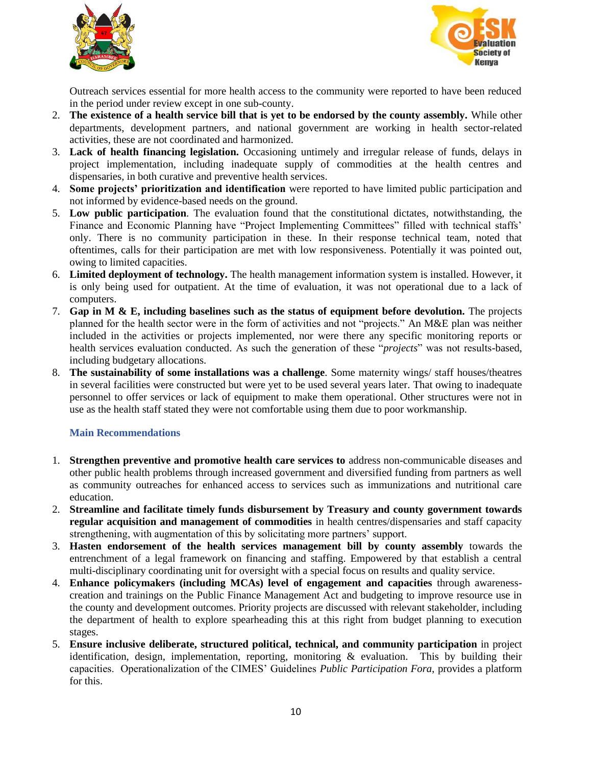



Outreach services essential for more health access to the community were reported to have been reduced in the period under review except in one sub-county.

- 2. **The existence of a health service bill that is yet to be endorsed by the county assembly.** While other departments, development partners, and national government are working in health sector-related activities, these are not coordinated and harmonized.
- 3. **Lack of health financing legislation.** Occasioning untimely and irregular release of funds, delays in project implementation, including inadequate supply of commodities at the health centres and dispensaries, in both curative and preventive health services.
- 4. **Some projects' prioritization and identification** were reported to have limited public participation and not informed by evidence-based needs on the ground.
- 5. **Low public participation**. The evaluation found that the constitutional dictates, notwithstanding, the Finance and Economic Planning have "Project Implementing Committees" filled with technical staffs' only. There is no community participation in these. In their response technical team, noted that oftentimes, calls for their participation are met with low responsiveness. Potentially it was pointed out, owing to limited capacities.
- 6. **Limited deployment of technology.** The health management information system is installed. However, it is only being used for outpatient. At the time of evaluation, it was not operational due to a lack of computers.
- 7. **Gap in M & E, including baselines such as the status of equipment before devolution.** The projects planned for the health sector were in the form of activities and not "projects." An M&E plan was neither included in the activities or projects implemented, nor were there any specific monitoring reports or health services evaluation conducted. As such the generation of these "*projects*" was not results-based, including budgetary allocations.
- 8. **The sustainability of some installations was a challenge**. Some maternity wings/ staff houses/theatres in several facilities were constructed but were yet to be used several years later. That owing to inadequate personnel to offer services or lack of equipment to make them operational. Other structures were not in use as the health staff stated they were not comfortable using them due to poor workmanship.

## <span id="page-9-0"></span>**Main Recommendations**

- 1. **Strengthen preventive and promotive health care services to** address non-communicable diseases and other public health problems through increased government and diversified funding from partners as well as community outreaches for enhanced access to services such as immunizations and nutritional care education.
- 2. **Streamline and facilitate timely funds disbursement by Treasury and county government towards regular acquisition and management of commodities** in health centres/dispensaries and staff capacity strengthening, with augmentation of this by solicitating more partners' support.
- 3. **Hasten endorsement of the health services management bill by county assembly** towards the entrenchment of a legal framework on financing and staffing. Empowered by that establish a central multi-disciplinary coordinating unit for oversight with a special focus on results and quality service.
- 4. **Enhance policymakers (including MCAs) level of engagement and capacities** through awarenesscreation and trainings on the Public Finance Management Act and budgeting to improve resource use in the county and development outcomes. Priority projects are discussed with relevant stakeholder, including the department of health to explore spearheading this at this right from budget planning to execution stages.
- 5. **Ensure inclusive deliberate, structured political, technical, and community participation** in project identification, design, implementation, reporting, monitoring  $\&$  evaluation. This by building their capacities. Operationalization of the CIMES' Guidelines *Public Participation Fora*, provides a platform for this.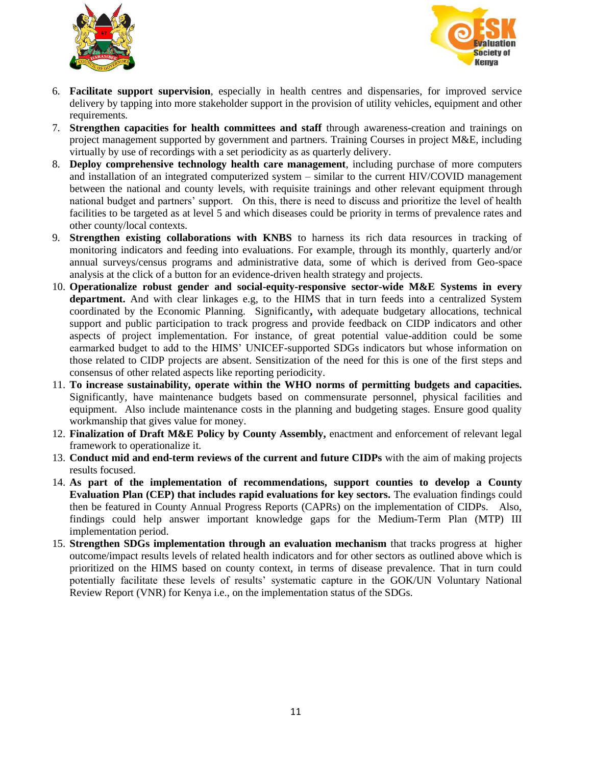



- 6. **Facilitate support supervision**, especially in health centres and dispensaries, for improved service delivery by tapping into more stakeholder support in the provision of utility vehicles, equipment and other requirements.
- 7. **Strengthen capacities for health committees and staff** through awareness-creation and trainings on project management supported by government and partners. Training Courses in project M&E, including virtually by use of recordings with a set periodicity as as quarterly delivery.
- 8. **Deploy comprehensive technology health care management**, including purchase of more computers and installation of an integrated computerized system – similar to the current HIV/COVID management between the national and county levels, with requisite trainings and other relevant equipment through national budget and partners' support. On this, there is need to discuss and prioritize the level of health facilities to be targeted as at level 5 and which diseases could be priority in terms of prevalence rates and other county/local contexts.
- 9. **Strengthen existing collaborations with KNBS** to harness its rich data resources in tracking of monitoring indicators and feeding into evaluations. For example, through its monthly, quarterly and/or annual surveys/census programs and administrative data, some of which is derived from Geo-space analysis at the click of a button for an evidence-driven health strategy and projects.
- 10. **Operationalize robust gender and social-equity-responsive sector-wide M&E Systems in every department.** And with clear linkages e.g, to the HIMS that in turn feeds into a centralized System coordinated by the Economic Planning.Significantly**,** with adequate budgetary allocations, technical support and public participation to track progress and provide feedback on CIDP indicators and other aspects of project implementation. For instance, of great potential value-addition could be some earmarked budget to add to the HIMS' UNICEF-supported SDGs indicators but whose information on those related to CIDP projects are absent. Sensitization of the need for this is one of the first steps and consensus of other related aspects like reporting periodicity.
- 11. **To increase sustainability, operate within the WHO norms of permitting budgets and capacities.**  Significantly, have maintenance budgets based on commensurate personnel, physical facilities and equipment. Also include maintenance costs in the planning and budgeting stages. Ensure good quality workmanship that gives value for money.
- 12. **Finalization of Draft M&E Policy by County Assembly,** enactment and enforcement of relevant legal framework to operationalize it.
- 13. **Conduct mid and end-term reviews of the current and future CIDPs** with the aim of making projects results focused.
- 14. **As part of the implementation of recommendations, support counties to develop a County Evaluation Plan (CEP) that includes rapid evaluations for key sectors.** The evaluation findings could then be featured in County Annual Progress Reports (CAPRs) on the implementation of CIDPs. Also, findings could help answer important knowledge gaps for the Medium-Term Plan (MTP) III implementation period.
- 15. **Strengthen SDGs implementation through an evaluation mechanism** that tracks progress at higher outcome/impact results levels of related health indicators and for other sectors as outlined above which is prioritized on the HIMS based on county context, in terms of disease prevalence. That in turn could potentially facilitate these levels of results' systematic capture in the GOK/UN Voluntary National Review Report (VNR) for Kenya i.e., on the implementation status of the SDGs.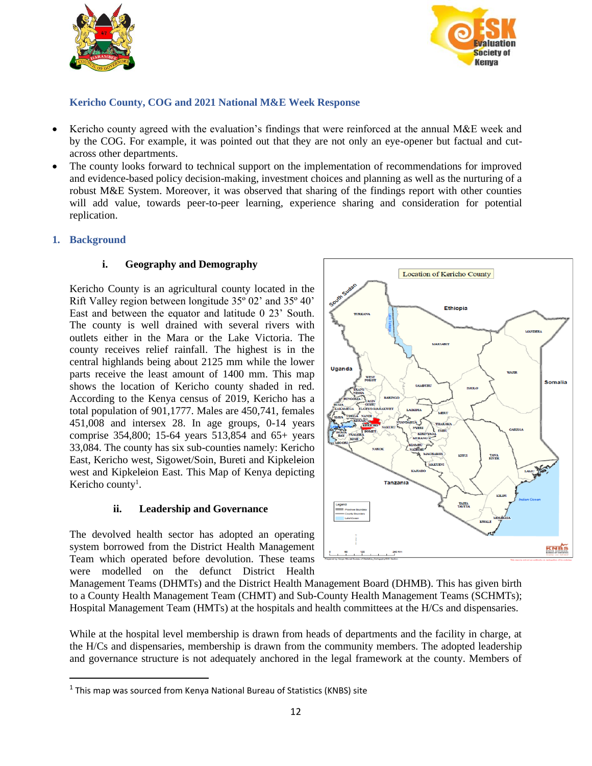



## <span id="page-11-0"></span>**Kericho County, COG and 2021 National M&E Week Response**

- Kericho county agreed with the evaluation's findings that were reinforced at the annual M&E week and by the COG. For example, it was pointed out that they are not only an eye-opener but factual and cutacross other departments.
- The county looks forward to technical support on the implementation of recommendations for improved and evidence-based policy decision-making, investment choices and planning as well as the nurturing of a robust M&E System. Moreover, it was observed that sharing of the findings report with other counties will add value, towards peer-to-peer learning, experience sharing and consideration for potential replication.

## <span id="page-11-1"></span>**1. Background**

## **i. Geography and Demography**

Kericho County is an agricultural county located in the Rift Valley region between longitude 35º 02' and 35º 40' East and between the equator and latitude 0 23' South. The county is well drained with several rivers with outlets either in the Mara or the Lake Victoria. The county receives relief rainfall. The highest is in the central highlands being about 2125 mm while the lower parts receive the least amount of 1400 mm. This map shows the location of Kericho county shaded in red. According to the Kenya census of 2019, Kericho has a total population of 901,1777. Males are 450,741, females 451,008 and intersex 28. In age groups, 0-14 years comprise 354,800; 15-64 years 513,854 and 65+ years 33,084. The county has six sub-counties namely: Kericho East, Kericho west, Sigowet/Soin, Bureti and Kipkeleion west and Kipkeleion East. This Map of Kenya depicting Kericho county<sup>1</sup>.

## **ii. Leadership and Governance**

The devolved health sector has adopted an operating system borrowed from the District Health Management Team which operated before devolution. These teams were modelled on the defunct District Health



Management Teams (DHMTs) and the District Health Management Board (DHMB). This has given birth to a County Health Management Team (CHMT) and Sub-County Health Management Teams (SCHMTs); Hospital Management Team (HMTs) at the hospitals and health committees at the H/Cs and dispensaries.

While at the hospital level membership is drawn from heads of departments and the facility in charge, at the H/Cs and dispensaries, membership is drawn from the community members. The adopted leadership and governance structure is not adequately anchored in the legal framework at the county. Members of

 $^1$  This map was sourced from Kenya National Bureau of Statistics (KNBS) site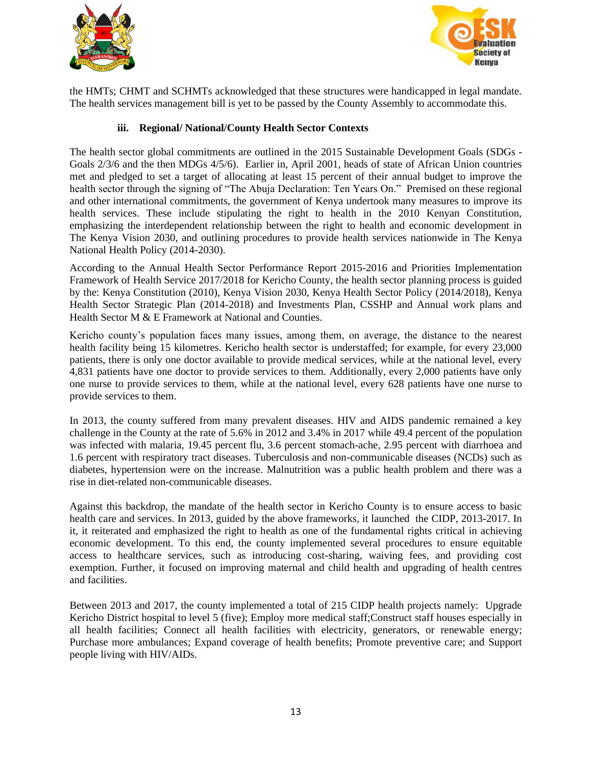



the HMTs; CHMT and SCHMTs acknowledged that these structures were handicapped in legal mandate. The health services management bill is yet to be passed by the County Assembly to accommodate this.

## **iii. Regional/ National/County Health Sector Contexts**

The health sector global commitments are outlined in the 2015 Sustainable Development Goals (SDGs - Goals 2/3/6 and the then MDGs 4/5/6). Earlier in, April 2001, heads of state of African Union countries met and pledged to set a target of allocating at least 15 percent of their annual budget to improve the health sector through the signing of "The Abuja Declaration: Ten Years On." Premised on these regional and other international commitments, the government of Kenya undertook many measures to improve its health services. These include stipulating the right to health in the 2010 Kenyan Constitution, emphasizing the interdependent relationship between the right to health and economic development in The Kenya Vision 2030, and outlining procedures to provide health services nationwide in The Kenya National Health Policy (2014-2030).

According to the Annual Health Sector Performance Report 2015-2016 and Priorities Implementation Framework of Health Service 2017/2018 for Kericho County, the health sector planning process is guided by the: Kenya Constitution (2010), Kenya Vision 2030, Kenya Health Sector Policy (2014/2018), Kenya Health Sector Strategic Plan (2014-2018) and Investments Plan, CSSHP and Annual work plans and Health Sector M & E Framework at National and Counties.

Kericho county's population faces many issues, among them, on average, the distance to the nearest health facility being 15 kilometres. Kericho health sector is understaffed; for example, for every 23,000 patients, there is only one doctor available to provide medical services, while at the national level, every 4,831 patients have one doctor to provide services to them. Additionally, every 2,000 patients have only one nurse to provide services to them, while at the national level, every 628 patients have one nurse to provide services to them.

In 2013, the county suffered from many prevalent diseases. HIV and AIDS pandemic remained a key challenge in the County at the rate of 5.6% in 2012 and 3.4% in 2017 while 49.4 percent of the population was infected with malaria, 19.45 percent flu, 3.6 percent stomach-ache, 2.95 percent with diarrhoea and 1.6 percent with respiratory tract diseases. Tuberculosis and non-communicable diseases (NCDs) such as diabetes, hypertension were on the increase. Malnutrition was a public health problem and there was a rise in diet-related non-communicable diseases.

Against this backdrop, the mandate of the health sector in Kericho County is to ensure access to basic health care and services. In 2013, guided by the above frameworks, it launched the CIDP, 2013-2017. In it, it reiterated and emphasized the right to health as one of the fundamental rights critical in achieving economic development. To this end, the county implemented several procedures to ensure equitable access to healthcare services, such as introducing cost-sharing, waiving fees, and providing cost exemption. Further, it focused on improving maternal and child health and upgrading of health centres and facilities.

Between 2013 and 2017, the county implemented a total of 215 CIDP health projects namely: Upgrade Kericho District hospital to level 5 (five); Employ more medical staff;Construct staff houses especially in all health facilities; Connect all health facilities with electricity, generators, or renewable energy; Purchase more ambulances; Expand coverage of health benefits; Promote preventive care; and Support people living with HIV/AIDs.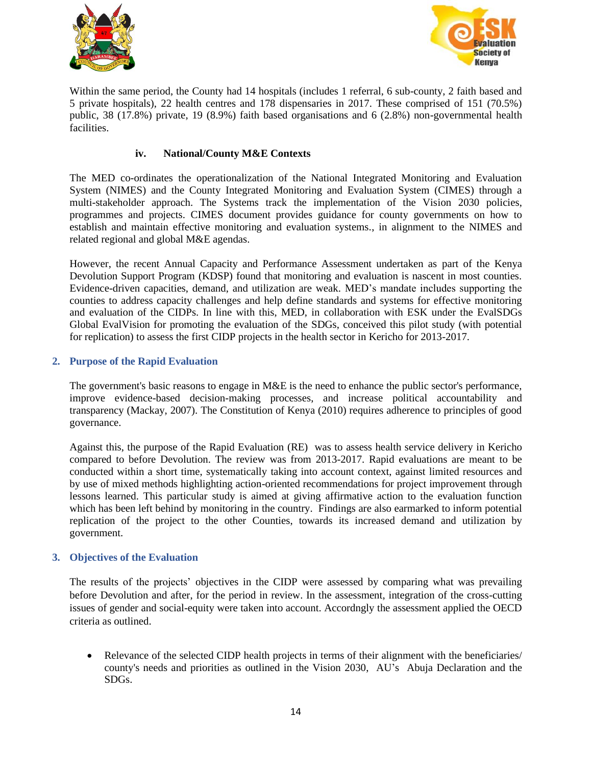



Within the same period, the County had 14 hospitals (includes 1 referral, 6 sub-county, 2 faith based and 5 private hospitals), 22 health centres and 178 dispensaries in 2017. These comprised of 151 (70.5%) public, 38 (17.8%) private, 19 (8.9%) faith based organisations and 6 (2.8%) non-governmental health facilities.

## **iv. National/County M&E Contexts**

The MED co-ordinates the operationalization of the National Integrated Monitoring and Evaluation System (NIMES) and the County Integrated Monitoring and Evaluation System (CIMES) through a multi-stakeholder approach. The Systems track the implementation of the Vision 2030 policies, programmes and projects. CIMES document provides guidance for county governments on how to establish and maintain effective monitoring and evaluation systems., in alignment to the NIMES and related regional and global M&E agendas.

However, the recent Annual Capacity and Performance Assessment undertaken as part of the Kenya Devolution Support Program (KDSP) found that monitoring and evaluation is nascent in most counties. Evidence-driven capacities, demand, and utilization are weak. MED's mandate includes supporting the counties to address capacity challenges and help define standards and systems for effective monitoring and evaluation of the CIDPs. In line with this, MED, in collaboration with ESK under the EvalSDGs Global EvalVision for promoting the evaluation of the SDGs, conceived this pilot study (with potential for replication) to assess the first CIDP projects in the health sector in Kericho for 2013-2017.

#### <span id="page-13-0"></span>**2. Purpose of the Rapid Evaluation**

The government's basic reasons to engage in M&E is the need to enhance the public sector's performance, improve evidence-based decision-making processes, and increase political accountability and transparency (Mackay, 2007). The Constitution of Kenya (2010) requires adherence to principles of good governance.

Against this, the purpose of the Rapid Evaluation (RE) was to assess health service delivery in Kericho compared to before Devolution. The review was from 2013-2017. Rapid evaluations are meant to be conducted within a short time, systematically taking into account context, against limited resources and by use of mixed methods highlighting action-oriented recommendations for project improvement through lessons learned. This particular study is aimed at giving affirmative action to the evaluation function which has been left behind by monitoring in the country. Findings are also earmarked to inform potential replication of the project to the other Counties, towards its increased demand and utilization by government.

#### <span id="page-13-1"></span>**3. Objectives of the Evaluation**

The results of the projects' objectives in the CIDP were assessed by comparing what was prevailing before Devolution and after, for the period in review. In the assessment, integration of the cross-cutting issues of gender and social-equity were taken into account. Accordngly the assessment applied the OECD criteria as outlined.

• Relevance of the selected CIDP health projects in terms of their alignment with the beneficiaries/ county's needs and priorities as outlined in the Vision 2030, AU's Abuja Declaration and the SDGs.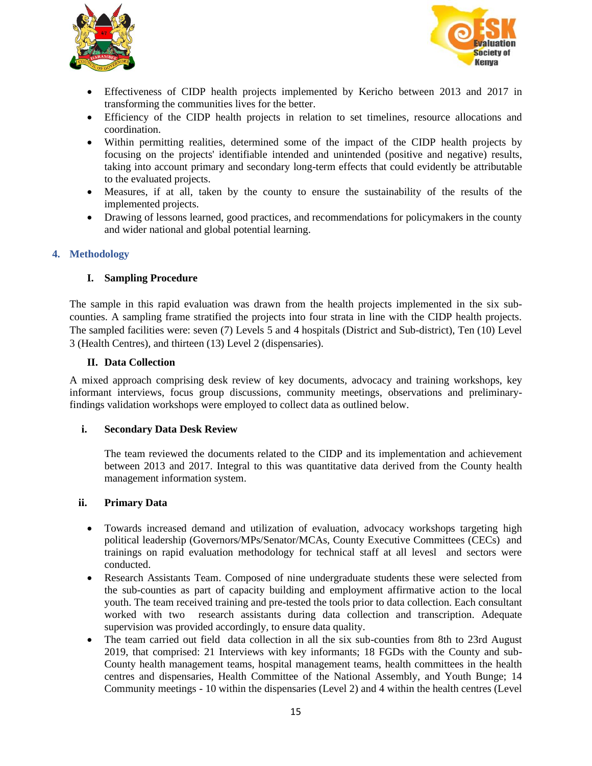



- Effectiveness of CIDP health projects implemented by Kericho between 2013 and 2017 in transforming the communities lives for the better.
- Efficiency of the CIDP health projects in relation to set timelines, resource allocations and coordination.
- Within permitting realities, determined some of the impact of the CIDP health projects by focusing on the projects' identifiable intended and unintended (positive and negative) results, taking into account primary and secondary long-term effects that could evidently be attributable to the evaluated projects.
- Measures, if at all, taken by the county to ensure the sustainability of the results of the implemented projects.
- Drawing of lessons learned, good practices, and recommendations for policymakers in the county and wider national and global potential learning.

#### <span id="page-14-0"></span>**4. Methodology**

#### <span id="page-14-1"></span>**I. Sampling Procedure**

The sample in this rapid evaluation was drawn from the health projects implemented in the six subcounties. A sampling frame stratified the projects into four strata in line with the CIDP health projects. The sampled facilities were: seven (7) Levels 5 and 4 hospitals (District and Sub-district), Ten (10) Level 3 (Health Centres), and thirteen (13) Level 2 (dispensaries).

#### **II. Data Collection**

<span id="page-14-2"></span>A mixed approach comprising desk review of key documents, advocacy and training workshops, key informant interviews, focus group discussions, community meetings, observations and preliminaryfindings validation workshops were employed to collect data as outlined below.

#### **i. Secondary Data Desk Review**

The team reviewed the documents related to the CIDP and its implementation and achievement between 2013 and 2017. Integral to this was quantitative data derived from the County health management information system.

#### **ii. Primary Data**

- Towards increased demand and utilization of evaluation, advocacy workshops targeting high political leadership (Governors/MPs/Senator/MCAs, County Executive Committees (CECs) and trainings on rapid evaluation methodology for technical staff at all levesl and sectors were conducted.
- Research Assistants Team. Composed of nine undergraduate students these were selected from the sub-counties as part of capacity building and employment affirmative action to the local youth. The team received training and pre-tested the tools prior to data collection. Each consultant worked with two research assistants during data collection and transcription. Adequate supervision was provided accordingly, to ensure data quality.
- The team carried out field data collection in all the six sub-counties from 8th to 23rd August 2019, that comprised: 21 Interviews with key informants; 18 FGDs with the County and sub-County health management teams, hospital management teams, health committees in the health centres and dispensaries, Health Committee of the National Assembly, and Youth Bunge; 14 Community meetings - 10 within the dispensaries (Level 2) and 4 within the health centres (Level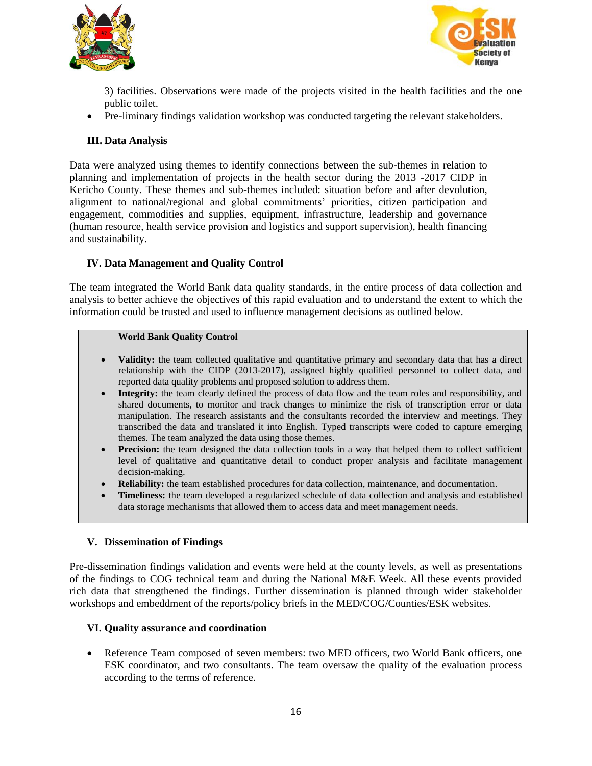



3) facilities. Observations were made of the projects visited in the health facilities and the one public toilet.

• Pre-liminary findings validation workshop was conducted targeting the relevant stakeholders.

## <span id="page-15-0"></span>**III. Data Analysis**

Data were analyzed using themes to identify connections between the sub-themes in relation to planning and implementation of projects in the health sector during the 2013 -2017 CIDP in Kericho County. These themes and sub-themes included: situation before and after devolution, alignment to national/regional and global commitments' priorities, citizen participation and engagement, commodities and supplies, equipment, infrastructure, leadership and governance (human resource, health service provision and logistics and support supervision), health financing and sustainability.

#### <span id="page-15-1"></span>**IV. Data Management and Quality Control**

The team integrated the World Bank data quality standards, in the entire process of data collection and analysis to better achieve the objectives of this rapid evaluation and to understand the extent to which the information could be trusted and used to influence management decisions as outlined below.

## **World Bank Quality Control**

- **Validity:** the team collected qualitative and quantitative primary and secondary data that has a direct relationship with the CIDP (2013-2017), assigned highly qualified personnel to collect data, and reported data quality problems and proposed solution to address them.
- **Integrity:** the team clearly defined the process of data flow and the team roles and responsibility, and shared documents, to monitor and track changes to minimize the risk of transcription error or data manipulation. The research assistants and the consultants recorded the interview and meetings. They transcribed the data and translated it into English. Typed transcripts were coded to capture emerging themes. The team analyzed the data using those themes.
- **Precision:** the team designed the data collection tools in a way that helped them to collect sufficient level of qualitative and quantitative detail to conduct proper analysis and facilitate management decision-making.
- **Reliability:** the team established procedures for data collection, maintenance, and documentation.
- **Timeliness:** the team developed a regularized schedule of data collection and analysis and established data storage mechanisms that allowed them to access data and meet management needs.

#### <span id="page-15-2"></span>**V. Dissemination of Findings**

Pre-dissemination findings validation and events were held at the county levels, as well as presentations of the findings to COG technical team and during the National M&E Week. All these events provided rich data that strengthened the findings. Further dissemination is planned through wider stakeholder workshops and embeddment of the reports/policy briefs in the MED/COG/Counties/ESK websites.

#### <span id="page-15-3"></span>**VI. Quality assurance and coordination**

• Reference Team composed of seven members: two MED officers, two World Bank officers, one ESK coordinator, and two consultants. The team oversaw the quality of the evaluation process according to the terms of reference.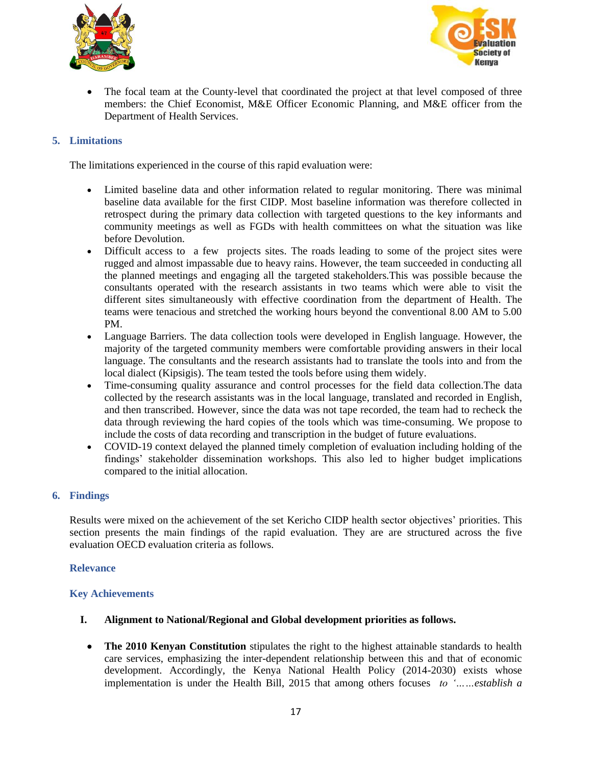



• The focal team at the County-level that coordinated the project at that level composed of three members: the Chief Economist, M&E Officer Economic Planning, and M&E officer from the Department of Health Services.

## <span id="page-16-0"></span>**5. Limitations**

The limitations experienced in the course of this rapid evaluation were:

- Limited baseline data and other information related to regular monitoring. There was minimal baseline data available for the first CIDP. Most baseline information was therefore collected in retrospect during the primary data collection with targeted questions to the key informants and community meetings as well as FGDs with health committees on what the situation was like before Devolution.
- Difficult access to a few projects sites. The roads leading to some of the project sites were rugged and almost impassable due to heavy rains. However, the team succeeded in conducting all the planned meetings and engaging all the targeted stakeholders.This was possible because the consultants operated with the research assistants in two teams which were able to visit the different sites simultaneously with effective coordination from the department of Health. The teams were tenacious and stretched the working hours beyond the conventional 8.00 AM to 5.00 PM.
- Language Barriers. The data collection tools were developed in English language. However, the majority of the targeted community members were comfortable providing answers in their local language. The consultants and the research assistants had to translate the tools into and from the local dialect (Kipsigis). The team tested the tools before using them widely.
- Time-consuming quality assurance and control processes for the field data collection.The data collected by the research assistants was in the local language, translated and recorded in English, and then transcribed. However, since the data was not tape recorded, the team had to recheck the data through reviewing the hard copies of the tools which was time-consuming. We propose to include the costs of data recording and transcription in the budget of future evaluations.
- COVID-19 context delayed the planned timely completion of evaluation including holding of the findings' stakeholder dissemination workshops. This also led to higher budget implications compared to the initial allocation.

#### <span id="page-16-1"></span>**6. Findings**

Results were mixed on the achievement of the set Kericho CIDP health sector objectives' priorities. This section presents the main findings of the rapid evaluation. They are are structured across the five evaluation OECD evaluation criteria as follows.

#### <span id="page-16-2"></span>**Relevance**

#### <span id="page-16-3"></span>**Key Achievements**

- **I. Alignment to National/Regional and Global development priorities as follows.**
	- **The 2010 Kenyan Constitution** stipulates the right to the highest attainable standards to health care services, emphasizing the inter-dependent relationship between this and that of economic development. Accordingly, the Kenya National Health Policy (2014-2030) exists whose implementation is under the Health Bill, 2015 that among others focuses *to '……establish a*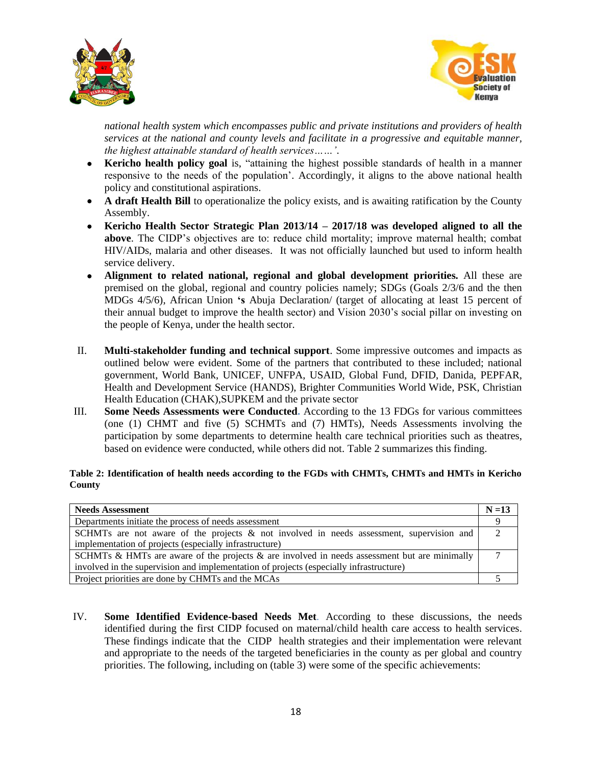



*national health system which encompasses public and private institutions and providers of health services at the national and county levels and facilitate in a progressive and equitable manner, the highest attainable standard of health services……'*.

- **Kericho health policy goal** is, "attaining the highest possible standards of health in a manner responsive to the needs of the population'. Accordingly, it aligns to the above national health policy and constitutional aspirations.
- **A draft Health Bill** to operationalize the policy exists, and is awaiting ratification by the County Assembly.
- **Kericho Health Sector Strategic Plan 2013/14 – 2017/18 was developed aligned to all the above**. The CIDP's objectives are to: reduce child mortality; improve maternal health; combat HIV/AIDs, malaria and other diseases. It was not officially launched but used to inform health service delivery.
- **Alignment to related national, regional and global development priorities.** All these are premised on the global, regional and country policies namely; SDGs (Goals 2/3/6 and the then MDGs 4/5/6), African Union **'s** Abuja Declaration/ (target of allocating at least 15 percent of their annual budget to improve the health sector) and Vision 2030's social pillar on investing on the people of Kenya, under the health sector.
- II. **Multi-stakeholder funding and technical support**. Some impressive outcomes and impacts as outlined below were evident. Some of the partners that contributed to these included; national government, World Bank, UNICEF, UNFPA, USAID, Global Fund, DFID, Danida, PEPFAR, Health and Development Service (HANDS), Brighter Communities World Wide, PSK, Christian Health Education (CHAK),SUPKEM and the private sector
- III. **Some Needs Assessments were Conducted.** According to the 13 FDGs for various committees (one (1) CHMT and five (5) SCHMTs and (7) HMTs), Needs Assessments involving the participation by some departments to determine health care technical priorities such as theatres, based on evidence were conducted, while others did not. Table 2 summarizes this finding.

#### <span id="page-17-0"></span>**Table 2: Identification of health needs according to the FGDs with CHMTs, CHMTs and HMTs in Kericho County**

| <b>Needs Assessment</b>                                                                         |  |
|-------------------------------------------------------------------------------------------------|--|
| Departments initiate the process of needs assessment                                            |  |
| SCHMTs are not aware of the projects & not involved in needs assessment, supervision and        |  |
| implementation of projects (especially infrastructure)                                          |  |
| SCHMTs & HMTs are aware of the projects $\&$ are involved in needs assessment but are minimally |  |
| involved in the supervision and implementation of projects (especially infrastructure)          |  |
| Project priorities are done by CHMTs and the MCAs                                               |  |

IV. **Some Identified Evidence-based Needs Met**. According to these discussions, the needs identified during the first CIDP focused on maternal/child health care access to health services. These findings indicate that the CIDP health strategies and their implementation were relevant and appropriate to the needs of the targeted beneficiaries in the county as per global and country priorities. The following, including on (table 3) were some of the specific achievements: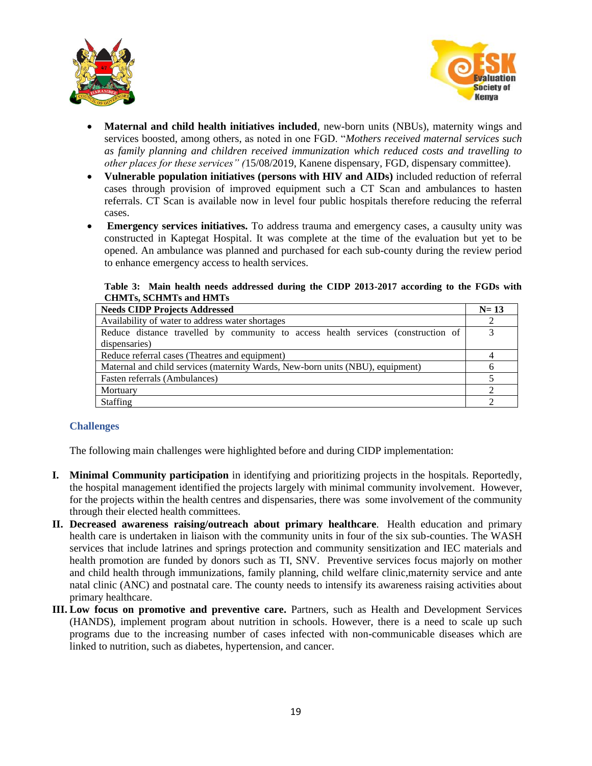



- **Maternal and child health initiatives included**, new-born units (NBUs), maternity wings and services boosted, among others, as noted in one FGD. "*Mothers received maternal services such as family planning and children received immunization which reduced costs and travelling to other places for these services" (*15/08/2019, Kanene dispensary, FGD, dispensary committee).
- **Vulnerable population initiatives (persons with HIV and AIDs)** included reduction of referral cases through provision of improved equipment such a CT Scan and ambulances to hasten referrals. CT Scan is available now in level four public hospitals therefore reducing the referral cases.
- **Emergency services initiatives.** To address trauma and emergency cases, a causulty unity was constructed in Kaptegat Hospital. It was complete at the time of the evaluation but yet to be opened. An ambulance was planned and purchased for each sub-county during the review period to enhance emergency access to health services.

#### **Table 3: Main health needs addressed during the CIDP 2013-2017 according to the FGDs with CHMTs, SCHMTs and HMTs**

<span id="page-18-1"></span>

| <b>Needs CIDP Projects Addressed</b>                                              |  |  |
|-----------------------------------------------------------------------------------|--|--|
| Availability of water to address water shortages                                  |  |  |
| Reduce distance travelled by community to access health services (construction of |  |  |
| dispensaries)                                                                     |  |  |
| Reduce referral cases (Theatres and equipment)                                    |  |  |
| Maternal and child services (maternity Wards, New-born units (NBU), equipment)    |  |  |
| Fasten referrals (Ambulances)                                                     |  |  |
| Mortuary                                                                          |  |  |
| Staffing                                                                          |  |  |

## <span id="page-18-0"></span>**Challenges**

The following main challenges were highlighted before and during CIDP implementation:

- **I. Minimal Community participation** in identifying and prioritizing projects in the hospitals. Reportedly, the hospital management identified the projects largely with minimal community involvement. However, for the projects within the health centres and dispensaries, there was some involvement of the community through their elected health committees.
- **II. Decreased awareness raising/outreach about primary healthcare**. Health education and primary health care is undertaken in liaison with the community units in four of the six sub-counties. The WASH services that include latrines and springs protection and community sensitization and IEC materials and health promotion are funded by donors such as TI, SNV. Preventive services focus majorly on mother and child health through immunizations, family planning, child welfare clinic,maternity service and ante natal clinic (ANC) and postnatal care. The county needs to intensify its awareness raising activities about primary healthcare.
- **III. Low focus on promotive and preventive care.** Partners, such as Health and Development Services (HANDS), implement program about nutrition in schools. However, there is a need to scale up such programs due to the increasing number of cases infected with non-communicable diseases which are linked to nutrition, such as diabetes, hypertension, and cancer.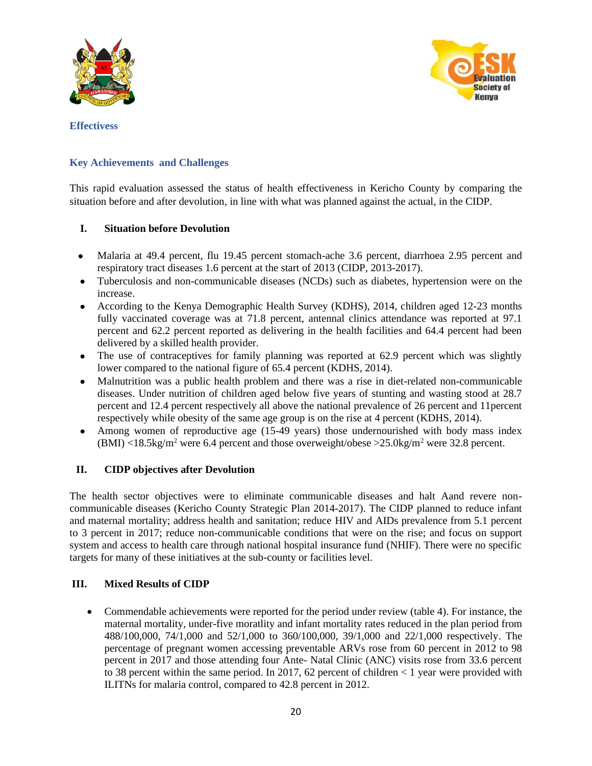



<span id="page-19-0"></span>**Effectivess**

## <span id="page-19-1"></span>**Key Achievements and Challenges**

This rapid evaluation assessed the status of health effectiveness in Kericho County by comparing the situation before and after devolution, in line with what was planned against the actual, in the CIDP.

#### **I. Situation before Devolution**

- Malaria at 49.4 percent, flu 19.45 percent stomach-ache 3.6 percent, diarrhoea 2.95 percent and respiratory tract diseases 1.6 percent at the start of 2013 (CIDP, 2013-2017).
- Tuberculosis and non-communicable diseases (NCDs) such as diabetes, hypertension were on the increase.
- According to the Kenya Demographic Health Survey (KDHS), 2014, children aged 12-23 months fully vaccinated coverage was at 71.8 percent, antennal clinics attendance was reported at 97.1 percent and 62.2 percent reported as delivering in the health facilities and 64.4 percent had been delivered by a skilled health provider.
- The use of contraceptives for family planning was reported at 62.9 percent which was slightly lower compared to the national figure of 65.4 percent (KDHS, 2014).
- Malnutrition was a public health problem and there was a rise in diet-related non-communicable diseases. Under nutrition of children aged below five years of stunting and wasting stood at 28.7 percent and 12.4 percent respectively all above the national prevalence of 26 percent and 11percent respectively while obesity of the same age group is on the rise at 4 percent (KDHS, 2014).
- Among women of reproductive age (15-49 years) those undernourished with body mass index  $(BMI)$  <18.5kg/m<sup>2</sup> were 6.4 percent and those overweight/obese >25.0kg/m<sup>2</sup> were 32.8 percent.

#### **II. CIDP objectives after Devolution**

The health sector objectives were to eliminate communicable diseases and halt Aand revere noncommunicable diseases (Kericho County Strategic Plan 2014-2017). The CIDP planned to reduce infant and maternal mortality; address health and sanitation; reduce HIV and AIDs prevalence from 5.1 percent to 3 percent in 2017; reduce non-communicable conditions that were on the rise; and focus on support system and access to health care through national hospital insurance fund (NHIF). There were no specific targets for many of these initiatives at the sub-county or facilities level.

#### **III. Mixed Results of CIDP**

• Commendable achievements were reported for the period under review (table 4). For instance, the maternal mortality, under-five moratlity and infant mortality rates reduced in the plan period from 488/100,000, 74/1,000 and 52/1,000 to 360/100,000, 39/1,000 and 22/1,000 respectively. The percentage of pregnant women accessing preventable ARVs rose from 60 percent in 2012 to 98 percent in 2017 and those attending four Ante- Natal Clinic (ANC) visits rose from 33.6 percent to 38 percent within the same period. In 2017, 62 percent of children  $\lt 1$  year were provided with ILITNs for malaria control, compared to 42.8 percent in 2012.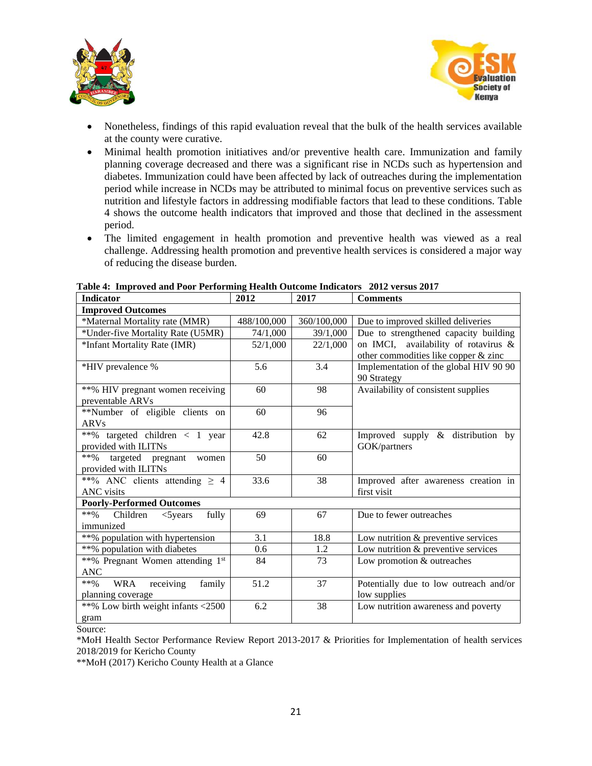



 $\overline{\phantom{a}}$ 

- Nonetheless, findings of this rapid evaluation reveal that the bulk of the health services available at the county were curative.
- Minimal health promotion initiatives and/or preventive health care. Immunization and family planning coverage decreased and there was a significant rise in NCDs such as hypertension and diabetes. Immunization could have been affected by lack of outreaches during the implementation period while increase in NCDs may be attributed to minimal focus on preventive services such as nutrition and lifestyle factors in addressing modifiable factors that lead to these conditions. Table 4 shows the outcome health indicators that improved and those that declined in the assessment period.
- The limited engagement in health promotion and preventive health was viewed as a real challenge. Addressing health promotion and preventive health services is considered a major way of reducing the disease burden.

| <b>Indicator</b>                             | 2012        | 2017        | <b>Comments</b>                        |  |  |
|----------------------------------------------|-------------|-------------|----------------------------------------|--|--|
| <b>Improved Outcomes</b>                     |             |             |                                        |  |  |
| *Maternal Mortality rate (MMR)               | 488/100,000 | 360/100,000 | Due to improved skilled deliveries     |  |  |
| *Under-five Mortality Rate (U5MR)            | 74/1,000    | 39/1,000    | Due to strengthened capacity building  |  |  |
| *Infant Mortality Rate (IMR)                 | 52/1,000    | 22/1,000    | on IMCI, availability of rotavirus &   |  |  |
|                                              |             |             | other commodities like copper & zinc   |  |  |
| *HIV prevalence %                            | 5.6         | 3.4         | Implementation of the global HIV 90 90 |  |  |
|                                              |             |             | 90 Strategy                            |  |  |
| **% HIV pregnant women receiving             | 60          | 98          | Availability of consistent supplies    |  |  |
| preventable ARVs                             |             |             |                                        |  |  |
| **Number of eligible clients on              | 60          | 96          |                                        |  |  |
| <b>ARVs</b>                                  |             |             |                                        |  |  |
| **% targeted children < 1 year               | 42.8        | 62          | Improved supply & distribution by      |  |  |
| provided with ILITNs                         |             |             | GOK/partners                           |  |  |
| $***\%$<br>targeted pregnant<br>women        | 50          | 60          |                                        |  |  |
| provided with ILITNs                         |             |             |                                        |  |  |
| **% ANC clients attending $\geq 4$           | 33.6        | 38          | Improved after awareness creation in   |  |  |
| ANC visits                                   |             |             | first visit                            |  |  |
| <b>Poorly-Performed Outcomes</b>             |             |             |                                        |  |  |
| **% Children<br>$<$ 5 years<br>fully         | 69          | 67          | Due to fewer outreaches                |  |  |
| immunized                                    |             |             |                                        |  |  |
| **% population with hypertension             | 3.1         | 18.8        | Low nutrition & preventive services    |  |  |
| **% population with diabetes                 | 0.6         | 1.2         | Low nutrition & preventive services    |  |  |
| **% Pregnant Women attending 1st             | 84          | 73          | Low promotion & outreaches             |  |  |
| <b>ANC</b>                                   |             |             |                                        |  |  |
| receiving<br>$***\%$<br><b>WRA</b><br>family | 51.2        | 37          | Potentially due to low outreach and/or |  |  |
| planning coverage                            |             |             | low supplies                           |  |  |
| **% Low birth weight infants <2500           | 6.2         | 38          | Low nutrition awareness and poverty    |  |  |
| gram                                         |             |             |                                        |  |  |

<span id="page-20-0"></span>

|  |  |  | Table 4: Improved and Poor Performing Health Outcome Indicators 2012 versus 2017 |
|--|--|--|----------------------------------------------------------------------------------|
|  |  |  |                                                                                  |

Source:

\*MoH Health Sector Performance Review Report 2013-2017 & Priorities for Implementation of health services 2018/2019 for Kericho County

\*\*MoH (2017) Kericho County Health at a Glance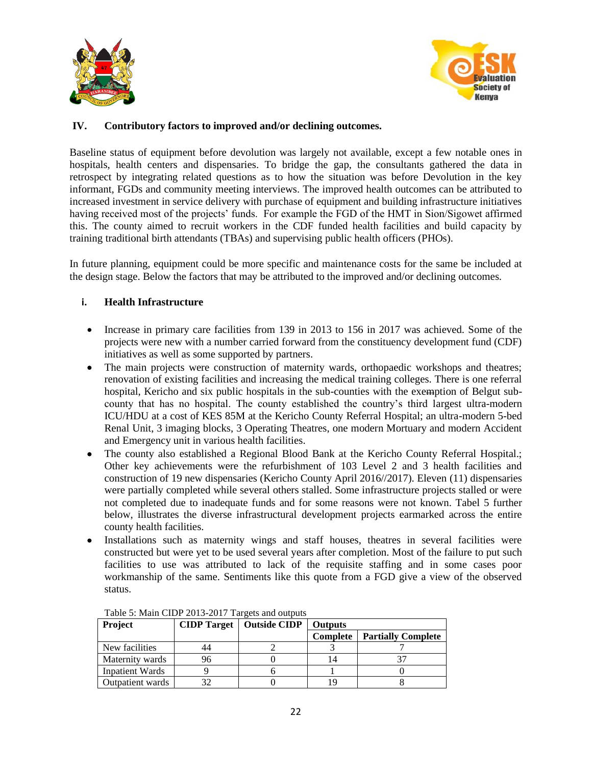



## **IV. Contributory factors to improved and/or declining outcomes.**

Baseline status of equipment before devolution was largely not available, except a few notable ones in hospitals, health centers and dispensaries. To bridge the gap, the consultants gathered the data in retrospect by integrating related questions as to how the situation was before Devolution in the key informant, FGDs and community meeting interviews. The improved health outcomes can be attributed to increased investment in service delivery with purchase of equipment and building infrastructure initiatives having received most of the projects' funds. For example the FGD of the HMT in Sion/Sigowet affirmed this. The county aimed to recruit workers in the CDF funded health facilities and build capacity by training traditional birth attendants (TBAs) and supervising public health officers (PHOs).

In future planning, equipment could be more specific and maintenance costs for the same be included at the design stage. Below the factors that may be attributed to the improved and/or declining outcomes.

#### **i. Health Infrastructure**

- Increase in primary care facilities from 139 in 2013 to 156 in 2017 was achieved. Some of the projects were new with a number carried forward from the constituency development fund (CDF) initiatives as well as some supported by partners.
- The main projects were construction of maternity wards, orthopaedic workshops and theatres; renovation of existing facilities and increasing the medical training colleges. There is one referral hospital, Kericho and six public hospitals in the sub-counties with the exemption of Belgut subcounty that has no hospital. The county established the country's third largest ultra-modern ICU/HDU at a cost of KES 85M at the Kericho County Referral Hospital; an ultra-modern 5-bed Renal Unit, 3 imaging blocks, 3 Operating Theatres, one modern Mortuary and modern Accident and Emergency unit in various health facilities.
- The county also established a Regional Blood Bank at the Kericho County Referral Hospital.; Other key achievements were the refurbishment of 103 Level 2 and 3 health facilities and construction of 19 new dispensaries (Kericho County April 2016//2017). Eleven (11) dispensaries were partially completed while several others stalled. Some infrastructure projects stalled or were not completed due to inadequate funds and for some reasons were not known. Tabel 5 further below, illustrates the diverse infrastructural development projects earmarked across the entire county health facilities.
- Installations such as maternity wings and staff houses, theatres in several facilities were constructed but were yet to be used several years after completion. Most of the failure to put such facilities to use was attributed to lack of the requisite staffing and in some cases poor workmanship of the same. Sentiments like this quote from a FGD give a view of the observed status.

<span id="page-21-0"></span>

| <b>Project</b>         |    | <b>CIDP Target</b>   Outside CIDP | <b>Outputs</b> |                           |  |
|------------------------|----|-----------------------------------|----------------|---------------------------|--|
|                        |    |                                   | Complete       | <b>Partially Complete</b> |  |
| New facilities         |    |                                   |                |                           |  |
| Maternity wards        | 96 |                                   | 14             |                           |  |
| <b>Inpatient Wards</b> |    |                                   |                |                           |  |
| Outpatient wards       |    |                                   | 1 G            |                           |  |

Table 5: Main CIDP 2013-2017 Targets and outputs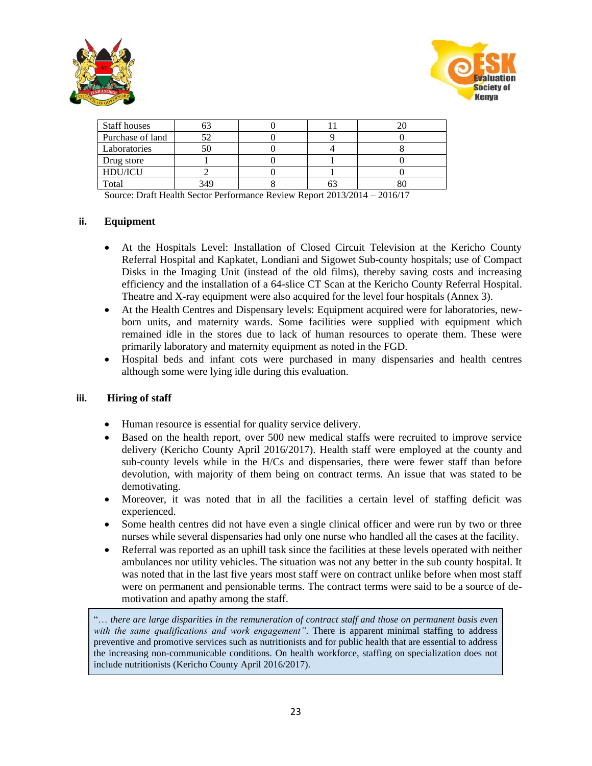



| <b>Staff houses</b> |     |  |  |
|---------------------|-----|--|--|
| Purchase of land    |     |  |  |
| Laboratories        |     |  |  |
| Drug store          |     |  |  |
| HDU/ICU             |     |  |  |
| Total               | 349 |  |  |

Source: Draft Health Sector Performance Review Report 2013/2014 – 2016/17

#### **ii. Equipment**

- At the Hospitals Level: Installation of Closed Circuit Television at the Kericho County Referral Hospital and Kapkatet, Londiani and Sigowet Sub-county hospitals; use of Compact Disks in the Imaging Unit (instead of the old films), thereby saving costs and increasing efficiency and the installation of a 64-slice CT Scan at the Kericho County Referral Hospital. Theatre and X-ray equipment were also acquired for the level four hospitals (Annex 3).
- At the Health Centres and Dispensary levels: Equipment acquired were for laboratories, newborn units, and maternity wards. Some facilities were supplied with equipment which remained idle in the stores due to lack of human resources to operate them. These were primarily laboratory and maternity equipment as noted in the FGD.
- Hospital beds and infant cots were purchased in many dispensaries and health centres although some were lying idle during this evaluation.

#### **iii. Hiring of staff**

- Human resource is essential for quality service delivery.
- Based on the health report, over 500 new medical staffs were recruited to improve service delivery (Kericho County April 2016/2017). Health staff were employed at the county and sub-county levels while in the H/Cs and dispensaries, there were fewer staff than before devolution, with majority of them being on contract terms. An issue that was stated to be demotivating.
- Moreover, it was noted that in all the facilities a certain level of staffing deficit was experienced.
- Some health centres did not have even a single clinical officer and were run by two or three nurses while several dispensaries had only one nurse who handled all the cases at the facility.
- Referral was reported as an uphill task since the facilities at these levels operated with neither ambulances nor utility vehicles. The situation was not any better in the sub county hospital. It was noted that in the last five years most staff were on contract unlike before when most staff were on permanent and pensionable terms. The contract terms were said to be a source of demotivation and apathy among the staff.

"… *there are large disparities in the remuneration of contract staff and those on permanent basis even with the same qualifications and work engagement"*. There is apparent minimal staffing to address preventive and promotive services such as nutritionists and for public health that are essential to address the increasing non-communicable conditions. On health workforce, staffing on specialization does not include nutritionists (Kericho County April 2016/2017).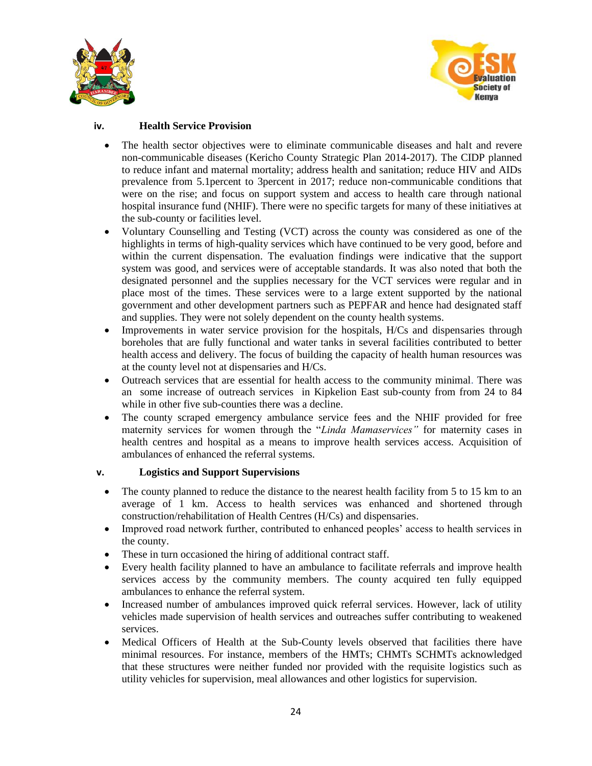



## **iv. Health Service Provision**

- The health sector objectives were to eliminate communicable diseases and halt and revere non-communicable diseases (Kericho County Strategic Plan 2014-2017). The CIDP planned to reduce infant and maternal mortality; address health and sanitation; reduce HIV and AIDs prevalence from 5.1percent to 3percent in 2017; reduce non-communicable conditions that were on the rise; and focus on support system and access to health care through national hospital insurance fund (NHIF). There were no specific targets for many of these initiatives at the sub-county or facilities level.
- Voluntary Counselling and Testing (VCT) across the county was considered as one of the highlights in terms of high-quality services which have continued to be very good, before and within the current dispensation. The evaluation findings were indicative that the support system was good, and services were of acceptable standards. It was also noted that both the designated personnel and the supplies necessary for the VCT services were regular and in place most of the times. These services were to a large extent supported by the national government and other development partners such as PEPFAR and hence had designated staff and supplies. They were not solely dependent on the county health systems.
- Improvements in water service provision for the hospitals, H/Cs and dispensaries through boreholes that are fully functional and water tanks in several facilities contributed to better health access and delivery. The focus of building the capacity of health human resources was at the county level not at dispensaries and H/Cs.
- Outreach services that are essential for health access to the community minimal. There was an some increase of outreach services in Kipkelion East sub-county from from 24 to 84 while in other five sub-counties there was a decline.
- The county scraped emergency ambulance service fees and the NHIF provided for free maternity services for women through the "*Linda Mamaservices"* for maternity cases in health centres and hospital as a means to improve health services access. Acquisition of ambulances of enhanced the referral systems.

## **v. Logistics and Support Supervisions**

- The county planned to reduce the distance to the nearest health facility from 5 to 15 km to an average of 1 km. Access to health services was enhanced and shortened through construction/rehabilitation of Health Centres (H/Cs) and dispensaries.
- Improved road network further, contributed to enhanced peoples' access to health services in the county.
- These in turn occasioned the hiring of additional contract staff.
- Every health facility planned to have an ambulance to facilitate referrals and improve health services access by the community members. The county acquired ten fully equipped ambulances to enhance the referral system.
- Increased number of ambulances improved quick referral services. However, lack of utility vehicles made supervision of health services and outreaches suffer contributing to weakened services.
- Medical Officers of Health at the Sub-County levels observed that facilities there have minimal resources. For instance, members of the HMTs; CHMTs SCHMTs acknowledged that these structures were neither funded nor provided with the requisite logistics such as utility vehicles for supervision, meal allowances and other logistics for supervision.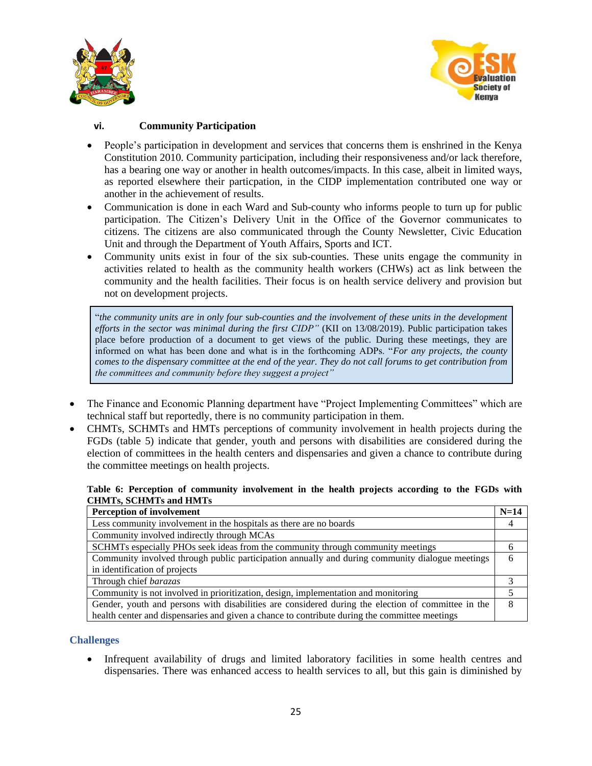



## **vi. Community Participation**

- People's participation in development and services that concerns them is enshrined in the Kenya Constitution 2010. Community participation, including their responsiveness and/or lack therefore, has a bearing one way or another in health outcomes/impacts. In this case, albeit in limited ways, as reported elsewhere their particpation, in the CIDP implementation contributed one way or another in the achievement of results.
- Communication is done in each Ward and Sub-county who informs people to turn up for public participation. The Citizen's Delivery Unit in the Office of the Governor communicates to citizens. The citizens are also communicated through the County Newsletter, Civic Education Unit and through the Department of Youth Affairs, Sports and ICT.
- Community units exist in four of the six sub-counties. These units engage the community in activities related to health as the community health workers (CHWs) act as link between the community and the health facilities. Their focus is on health service delivery and provision but not on development projects.

"*the community units are in only four* s*ub-counties and the involvement of these units in the development efforts in the sector was minimal during the first CIDP"* (KII on 13/08/2019). Public participation takes place before production of a document to get views of the public. During these meetings, they are informed on what has been done and what is in the forthcoming ADPs. "*For any projects, the county comes to the dispensary committee at the end of the year. They do not call forums to get contribution from the committees and community before they suggest a project"*

- The Finance and Economic Planning department have "Project Implementing Committees" which are technical staff but reportedly, there is no community participation in them.
- CHMTs, SCHMTs and HMTs perceptions of community involvement in health projects during the FGDs (table 5) indicate that gender, youth and persons with disabilities are considered during the election of committees in the health centers and dispensaries and given a chance to contribute during the committee meetings on health projects.

#### <span id="page-24-0"></span>**Table 6: Perception of community involvement in the health projects according to the FGDs with CHMTs, SCHMTs and HMTs**

| <b>Perception of involvement</b>                                                                   | $N=14$ |
|----------------------------------------------------------------------------------------------------|--------|
| Less community involvement in the hospitals as there are no boards                                 |        |
| Community involved indirectly through MCAs                                                         |        |
| SCHMTs especially PHOs seek ideas from the community through community meetings                    |        |
| Community involved through public participation annually and during community dialogue meetings    | h      |
| in identification of projects                                                                      |        |
| Through chief <i>barazas</i>                                                                       |        |
| Community is not involved in prioritization, design, implementation and monitoring                 |        |
| Gender, youth and persons with disabilities are considered during the election of committee in the |        |
| health center and dispensaries and given a chance to contribute during the committee meetings      |        |

#### **Challenges**

• Infrequent availability of drugs and limited laboratory facilities in some health centres and dispensaries. There was enhanced access to health services to all, but this gain is diminished by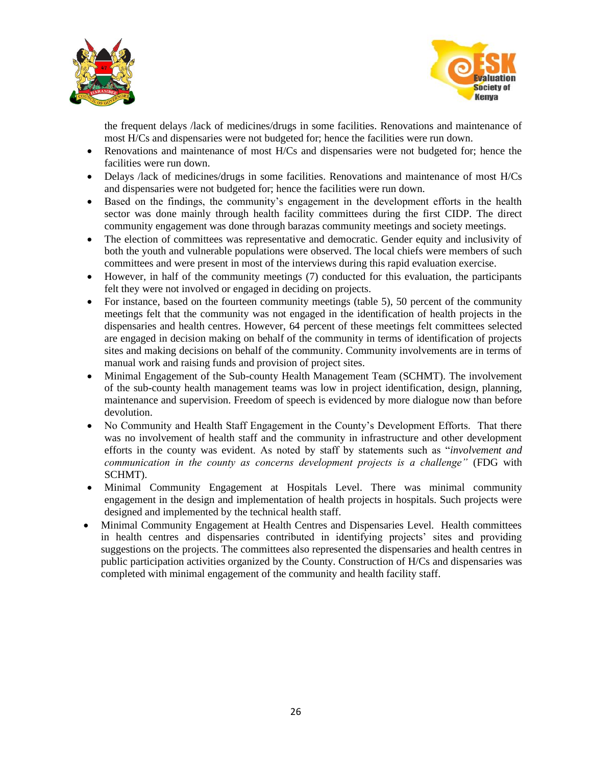



the frequent delays /lack of medicines/drugs in some facilities. Renovations and maintenance of most H/Cs and dispensaries were not budgeted for; hence the facilities were run down.

- Renovations and maintenance of most H/Cs and dispensaries were not budgeted for; hence the facilities were run down.
- Delays /lack of medicines/drugs in some facilities. Renovations and maintenance of most H/Cs and dispensaries were not budgeted for; hence the facilities were run down.
- Based on the findings, the community's engagement in the development efforts in the health sector was done mainly through health facility committees during the first CIDP. The direct community engagement was done through barazas community meetings and society meetings.
- The election of committees was representative and democratic. Gender equity and inclusivity of both the youth and vulnerable populations were observed. The local chiefs were members of such committees and were present in most of the interviews during this rapid evaluation exercise.
- However, in half of the community meetings (7) conducted for this evaluation, the participants felt they were not involved or engaged in deciding on projects.
- For instance, based on the fourteen community meetings (table 5), 50 percent of the community meetings felt that the community was not engaged in the identification of health projects in the dispensaries and health centres. However, 64 percent of these meetings felt committees selected are engaged in decision making on behalf of the community in terms of identification of projects sites and making decisions on behalf of the community. Community involvements are in terms of manual work and raising funds and provision of project sites.
- Minimal Engagement of the Sub-county Health Management Team (SCHMT). The involvement of the sub-county health management teams was low in project identification, design, planning, maintenance and supervision. Freedom of speech is evidenced by more dialogue now than before devolution.
- No Community and Health Staff Engagement in the County's Development Efforts. That there was no involvement of health staff and the community in infrastructure and other development efforts in the county was evident. As noted by staff by statements such as "*involvement and communication in the county as concerns development projects is a challenge"* (FDG with SCHMT).
- Minimal Community Engagement at Hospitals Level. There was minimal community engagement in the design and implementation of health projects in hospitals. Such projects were designed and implemented by the technical health staff.
- Minimal Community Engagement at Health Centres and Dispensaries Level. Health committees in health centres and dispensaries contributed in identifying projects' sites and providing suggestions on the projects. The committees also represented the dispensaries and health centres in public participation activities organized by the County. Construction of H/Cs and dispensaries was completed with minimal engagement of the community and health facility staff.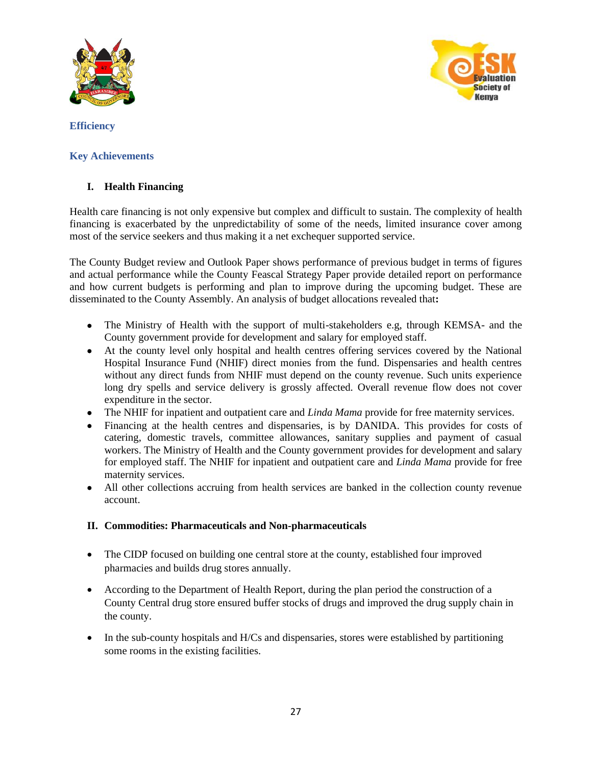



<span id="page-26-0"></span>**Efficiency**

## <span id="page-26-1"></span>**Key Achievements**

## <span id="page-26-2"></span>**I. Health Financing**

Health care financing is not only expensive but complex and difficult to sustain. The complexity of health financing is exacerbated by the unpredictability of some of the needs, limited insurance cover among most of the service seekers and thus making it a net exchequer supported service.

The County Budget review and Outlook Paper shows performance of previous budget in terms of figures and actual performance while the County Feascal Strategy Paper provide detailed report on performance and how current budgets is performing and plan to improve during the upcoming budget. These are disseminated to the County Assembly. An analysis of budget allocations revealed that**:**

- The Ministry of Health with the support of multi-stakeholders e.g, through KEMSA- and the County government provide for development and salary for employed staff.
- At the county level only hospital and health centres offering services covered by the National Hospital Insurance Fund (NHIF) direct monies from the fund. Dispensaries and health centres without any direct funds from NHIF must depend on the county revenue. Such units experience long dry spells and service delivery is grossly affected. Overall revenue flow does not cover expenditure in the sector.
- The NHIF for inpatient and outpatient care and *Linda Mama* provide for free maternity services.
- Financing at the health centres and dispensaries, is by DANIDA. This provides for costs of catering, domestic travels, committee allowances, sanitary supplies and payment of casual workers. The Ministry of Health and the County government provides for development and salary for employed staff. The NHIF for inpatient and outpatient care and *Linda Mama* provide for free maternity services.
- All other collections accruing from health services are banked in the collection county revenue account.

## <span id="page-26-3"></span>**II. Commodities: Pharmaceuticals and Non-pharmaceuticals**

- The CIDP focused on building one central store at the county, established four improved pharmacies and builds drug stores annually.
- According to the Department of Health Report, during the plan period the construction of a County Central drug store ensured buffer stocks of drugs and improved the drug supply chain in the county.
- In the sub-county hospitals and H/Cs and dispensaries, stores were established by partitioning some rooms in the existing facilities.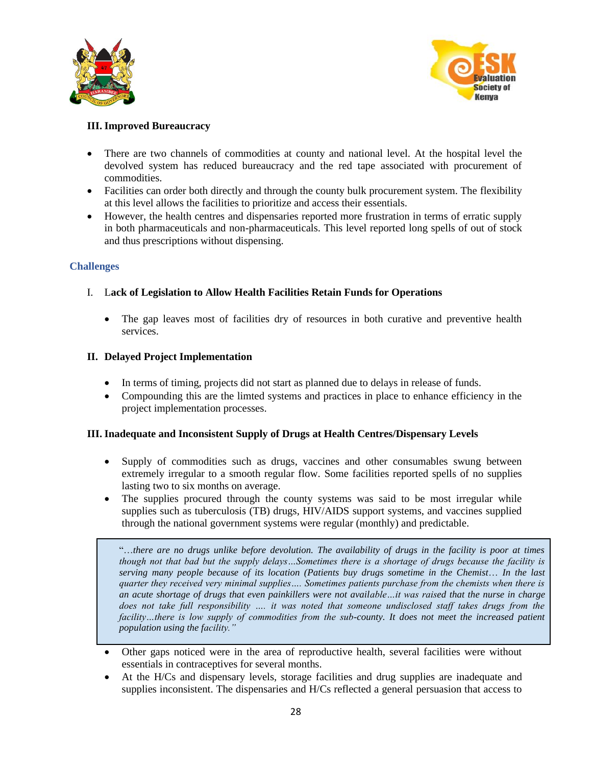



## <span id="page-27-0"></span>**III. Improved Bureaucracy**

- There are two channels of commodities at county and national level. At the hospital level the devolved system has reduced bureaucracy and the red tape associated with procurement of commodities.
- Facilities can order both directly and through the county bulk procurement system. The flexibility at this level allows the facilities to prioritize and access their essentials.
- However, the health centres and dispensaries reported more frustration in terms of erratic supply in both pharmaceuticals and non-pharmaceuticals. This level reported long spells of out of stock and thus prescriptions without dispensing.

#### **Challenges**

## I. L**ack of Legislation to Allow Health Facilities Retain Funds for Operations**

• The gap leaves most of facilities dry of resources in both curative and preventive health services.

#### <span id="page-27-1"></span>**II. Delayed Project Implementation**

- In terms of timing, projects did not start as planned due to delays in release of funds.
- Compounding this are the limted systems and practices in place to enhance efficiency in the project implementation processes.

#### <span id="page-27-2"></span>**III. Inadequate and Inconsistent Supply of Drugs at Health Centres/Dispensary Levels**

- Supply of commodities such as drugs, vaccines and other consumables swung between extremely irregular to a smooth regular flow. Some facilities reported spells of no supplies lasting two to six months on average.
- The supplies procured through the county systems was said to be most irregular while supplies such as tuberculosis (TB) drugs, HIV/AIDS support systems, and vaccines supplied through the national government systems were regular (monthly) and predictable.

"…*there are no drugs unlike before devolution. The availability of drugs in the facility is poor at times though not that bad but the supply delays…Sometimes there is a shortage of drugs because the facility is serving many people because of its location (Patients buy drugs sometime in the Chemist*… *In the last quarter they received very minimal supplies…. Sometimes patients purchase from the chemists when there is an acute shortage of drugs that even painkillers were not available…it was raised that the nurse in charge does not take full responsibility …. it was noted that someone undisclosed staff takes drugs from the*  facility...there is low supply of commodities from the sub-county. It does not meet the increased patient *population using the facility."* 

- Other gaps noticed were in the area of reproductive health, several facilities were without essentials in contraceptives for several months.
- At the H/Cs and dispensary levels, storage facilities and drug supplies are inadequate and supplies inconsistent. The dispensaries and H/Cs reflected a general persuasion that access to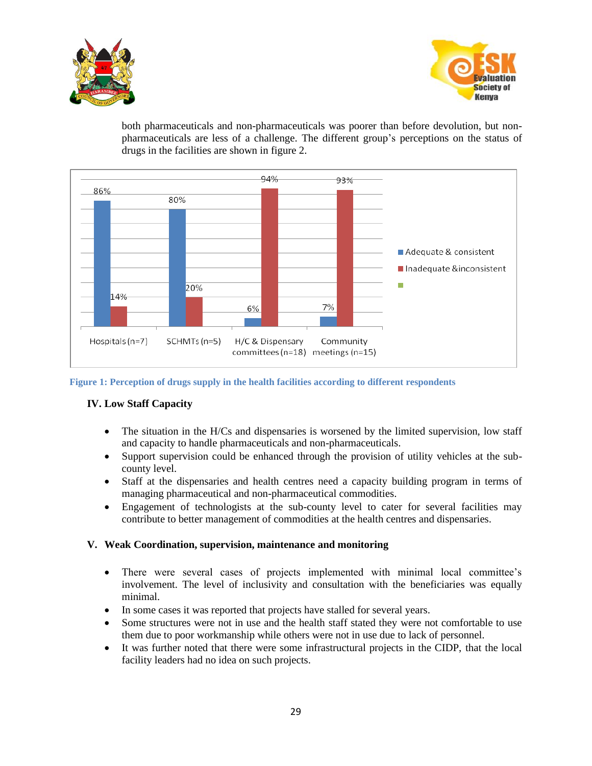



both pharmaceuticals and non-pharmaceuticals was poorer than before devolution, but nonpharmaceuticals are less of a challenge. The different group's perceptions on the status of drugs in the facilities are shown in figure 2.



<span id="page-28-2"></span>**Figure 1: Perception of drugs supply in the health facilities according to different respondents**

## <span id="page-28-0"></span>**IV. Low Staff Capacity**

- The situation in the H/Cs and dispensaries is worsened by the limited supervision, low staff and capacity to handle pharmaceuticals and non-pharmaceuticals.
- Support supervision could be enhanced through the provision of utility vehicles at the subcounty level.
- Staff at the dispensaries and health centres need a capacity building program in terms of managing pharmaceutical and non-pharmaceutical commodities.
- Engagement of technologists at the sub-county level to cater for several facilities may contribute to better management of commodities at the health centres and dispensaries.

#### <span id="page-28-1"></span>**V. Weak Coordination, supervision, maintenance and monitoring**

- There were several cases of projects implemented with minimal local committee's involvement. The level of inclusivity and consultation with the beneficiaries was equally minimal.
- In some cases it was reported that projects have stalled for several years.
- Some structures were not in use and the health staff stated they were not comfortable to use them due to poor workmanship while others were not in use due to lack of personnel.
- It was further noted that there were some infrastructural projects in the CIDP, that the local facility leaders had no idea on such projects.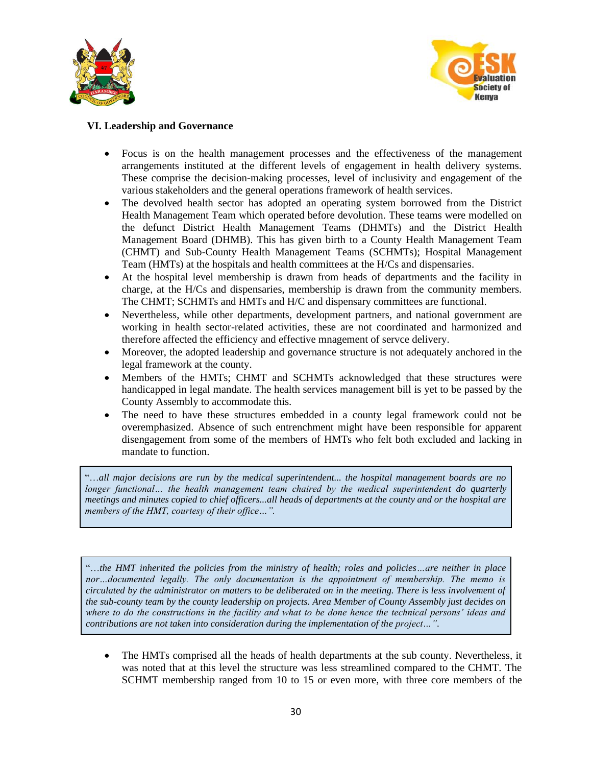



## <span id="page-29-0"></span>**VI. Leadership and Governance**

- Focus is on the health management processes and the effectiveness of the management arrangements instituted at the different levels of engagement in health delivery systems. These comprise the decision-making processes, level of inclusivity and engagement of the various stakeholders and the general operations framework of health services.
- The devolved health sector has adopted an operating system borrowed from the District Health Management Team which operated before devolution. These teams were modelled on the defunct District Health Management Teams (DHMTs) and the District Health Management Board (DHMB). This has given birth to a County Health Management Team (CHMT) and Sub-County Health Management Teams (SCHMTs); Hospital Management Team (HMTs) at the hospitals and health committees at the H/Cs and dispensaries.
- At the hospital level membership is drawn from heads of departments and the facility in charge, at the H/Cs and dispensaries, membership is drawn from the community members. The CHMT; SCHMTs and HMTs and H/C and dispensary committees are functional.
- Nevertheless, while other departments, development partners, and national government are working in health sector-related activities, these are not coordinated and harmonized and therefore affected the efficiency and effective mnagement of servce delivery.
- Moreover, the adopted leadership and governance structure is not adequately anchored in the legal framework at the county.
- Members of the HMTs; CHMT and SCHMTs acknowledged that these structures were handicapped in legal mandate. The health services management bill is yet to be passed by the County Assembly to accommodate this.
- The need to have these structures embedded in a county legal framework could not be overemphasized. Absence of such entrenchment might have been responsible for apparent disengagement from some of the members of HMTs who felt both excluded and lacking in mandate to function.

"…*all major decisions are run by the medical superintendent... the hospital management boards are no longer functional... the health management team chaired by the medical superintendent do quarterly meetings and minutes copied to chief officers...all heads of departments at the county and or the hospital are members of the HMT, courtesy of their office…".*

"…*the HMT inherited the policies from the ministry of health; roles and policies…are neither in place nor…documented legally. The only documentation is the appointment of membership. The memo is circulated by the administrator on matters to be deliberated on in the meeting. There is less involvement of the sub-county team by the county leadership on projects. Area Member of County Assembly just decides on where to do the constructions in the facility and what to be done hence the technical persons' ideas and contributions are not taken into consideration during the implementation of the project…"*.

• The HMTs comprised all the heads of health departments at the sub county. Nevertheless, it was noted that at this level the structure was less streamlined compared to the CHMT. The SCHMT membership ranged from 10 to 15 or even more, with three core members of the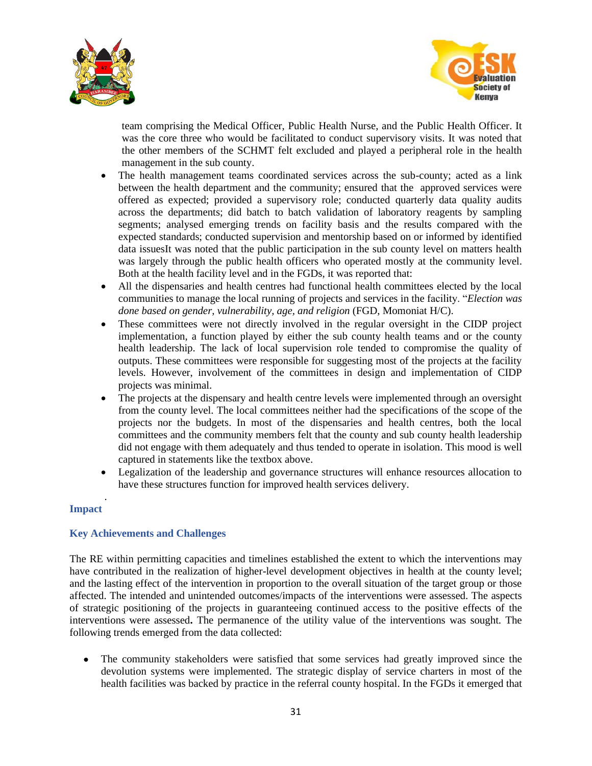



team comprising the Medical Officer, Public Health Nurse, and the Public Health Officer. It was the core three who would be facilitated to conduct supervisory visits. It was noted that the other members of the SCHMT felt excluded and played a peripheral role in the health management in the sub county.

- The health management teams coordinated services across the sub-county; acted as a link between the health department and the community; ensured that the approved services were offered as expected; provided a supervisory role; conducted quarterly data quality audits across the departments; did batch to batch validation of laboratory reagents by sampling segments; analysed emerging trends on facility basis and the results compared with the expected standards; conducted supervision and mentorship based on or informed by identified data issuesIt was noted that the public participation in the sub county level on matters health was largely through the public health officers who operated mostly at the community level. Both at the health facility level and in the FGDs, it was reported that:
- All the dispensaries and health centres had functional health committees elected by the local communities to manage the local running of projects and services in the facility. "*Election was done based on gender, vulnerability, age, and religion* (FGD, Momoniat H/C).
- These committees were not directly involved in the regular oversight in the CIDP project implementation, a function played by either the sub county health teams and or the county health leadership. The lack of local supervision role tended to compromise the quality of outputs. These committees were responsible for suggesting most of the projects at the facility levels. However, involvement of the committees in design and implementation of CIDP projects was minimal.
- The projects at the dispensary and health centre levels were implemented through an oversight from the county level. The local committees neither had the specifications of the scope of the projects nor the budgets. In most of the dispensaries and health centres, both the local committees and the community members felt that the county and sub county health leadership did not engage with them adequately and thus tended to operate in isolation. This mood is well captured in statements like the textbox above.
- Legalization of the leadership and governance structures will enhance resources allocation to have these structures function for improved health services delivery.

#### <span id="page-30-0"></span>. **Impact**

#### <span id="page-30-1"></span>**Key Achievements and Challenges**

The RE within permitting capacities and timelines established the extent to which the interventions may have contributed in the realization of higher-level development objectives in health at the county level; and the lasting effect of the intervention in proportion to the overall situation of the target group or those affected. The intended and unintended outcomes/impacts of the interventions were assessed. The aspects of strategic positioning of the projects in guaranteeing continued access to the positive effects of the interventions were assessed**.** The permanence of the utility value of the interventions was sought. The following trends emerged from the data collected:

• The community stakeholders were satisfied that some services had greatly improved since the devolution systems were implemented. The strategic display of service charters in most of the health facilities was backed by practice in the referral county hospital. In the FGDs it emerged that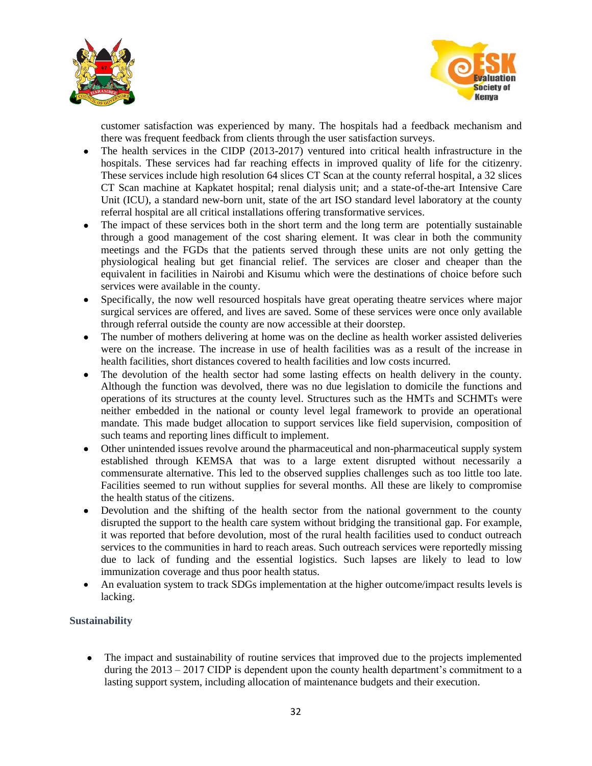



customer satisfaction was experienced by many. The hospitals had a feedback mechanism and there was frequent feedback from clients through the user satisfaction surveys.

- The health services in the CIDP (2013-2017) ventured into critical health infrastructure in the hospitals. These services had far reaching effects in improved quality of life for the citizenry. These services include high resolution 64 slices CT Scan at the county referral hospital, a 32 slices CT Scan machine at Kapkatet hospital; renal dialysis unit; and a state-of-the-art Intensive Care Unit (ICU), a standard new-born unit, state of the art ISO standard level laboratory at the county referral hospital are all critical installations offering transformative services.
- The impact of these services both in the short term and the long term are potentially sustainable through a good management of the cost sharing element. It was clear in both the community meetings and the FGDs that the patients served through these units are not only getting the physiological healing but get financial relief. The services are closer and cheaper than the equivalent in facilities in Nairobi and Kisumu which were the destinations of choice before such services were available in the county.
- Specifically, the now well resourced hospitals have great operating theatre services where major surgical services are offered, and lives are saved. Some of these services were once only available through referral outside the county are now accessible at their doorstep.
- The number of mothers delivering at home was on the decline as health worker assisted deliveries were on the increase. The increase in use of health facilities was as a result of the increase in health facilities, short distances covered to health facilities and low costs incurred.
- The devolution of the health sector had some lasting effects on health delivery in the county. Although the function was devolved, there was no due legislation to domicile the functions and operations of its structures at the county level. Structures such as the HMTs and SCHMTs were neither embedded in the national or county level legal framework to provide an operational mandate. This made budget allocation to support services like field supervision, composition of such teams and reporting lines difficult to implement.
- Other unintended issues revolve around the pharmaceutical and non-pharmaceutical supply system established through KEMSA that was to a large extent disrupted without necessarily a commensurate alternative. This led to the observed supplies challenges such as too little too late. Facilities seemed to run without supplies for several months. All these are likely to compromise the health status of the citizens.
- Devolution and the shifting of the health sector from the national government to the county disrupted the support to the health care system without bridging the transitional gap. For example, it was reported that before devolution, most of the rural health facilities used to conduct outreach services to the communities in hard to reach areas. Such outreach services were reportedly missing due to lack of funding and the essential logistics. Such lapses are likely to lead to low immunization coverage and thus poor health status.
- An evaluation system to track SDGs implementation at the higher outcome/impact results levels is lacking.

## <span id="page-31-0"></span>**Sustainability**

• The impact and sustainability of routine services that improved due to the projects implemented during the 2013 – 2017 CIDP is dependent upon the county health department's commitment to a lasting support system, including allocation of maintenance budgets and their execution.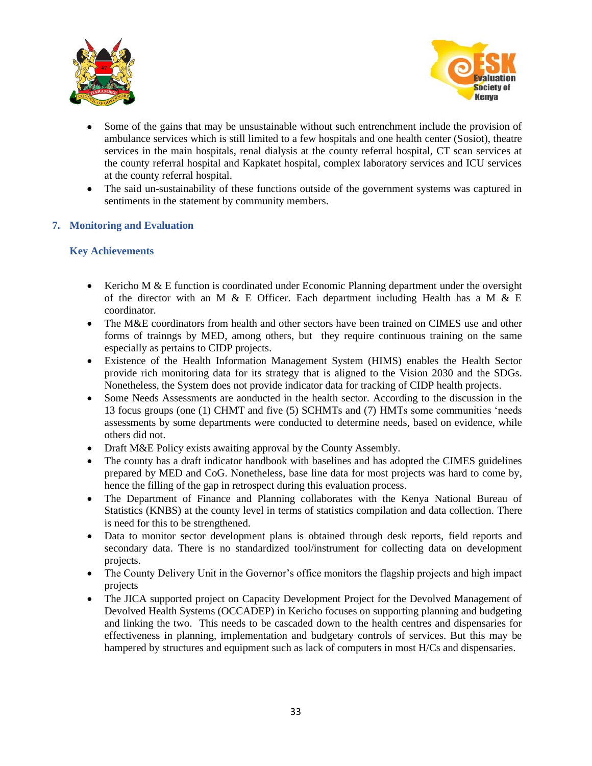



- Some of the gains that may be unsustainable without such entrenchment include the provision of ambulance services which is still limited to a few hospitals and one health center (Sosiot), theatre services in the main hospitals, renal dialysis at the county referral hospital, CT scan services at the county referral hospital and Kapkatet hospital, complex laboratory services and ICU services at the county referral hospital.
- The said un-sustainability of these functions outside of the government systems was captured in sentiments in the statement by community members.

#### <span id="page-32-0"></span>**7. Monitoring and Evaluation**

#### <span id="page-32-1"></span>**Key Achievements**

- Kericho M & E function is coordinated under Economic Planning department under the oversight of the director with an M & E Officer. Each department including Health has a M & E coordinator.
- The M&E coordinators from health and other sectors have been trained on CIMES use and other forms of trainngs by MED, among others, but they require continuous training on the same especially as pertains to CIDP projects.
- Existence of the Health Information Management System (HIMS) enables the Health Sector provide rich monitoring data for its strategy that is aligned to the Vision 2030 and the SDGs. Nonetheless, the System does not provide indicator data for tracking of CIDP health projects.
- Some Needs Assessments are aonducted in the health sector. According to the discussion in the 13 focus groups (one (1) CHMT and five (5) SCHMTs and (7) HMTs some communities 'needs assessments by some departments were conducted to determine needs, based on evidence, while others did not.
- Draft M&E Policy exists awaiting approval by the County Assembly.
- The county has a draft indicator handbook with baselines and has adopted the CIMES guidelines prepared by MED and CoG. Nonetheless, base line data for most projects was hard to come by, hence the filling of the gap in retrospect during this evaluation process.
- The Department of Finance and Planning collaborates with the Kenya National Bureau of Statistics (KNBS) at the county level in terms of statistics compilation and data collection. There is need for this to be strengthened.
- Data to monitor sector development plans is obtained through desk reports, field reports and secondary data. There is no standardized tool/instrument for collecting data on development projects.
- The County Delivery Unit in the Governor's office monitors the flagship projects and high impact projects
- The JICA supported project on Capacity Development Project for the Devolved Management of Devolved Health Systems (OCCADEP) in Kericho focuses on supporting planning and budgeting and linking the two. This needs to be cascaded down to the health centres and dispensaries for effectiveness in planning, implementation and budgetary controls of services. But this may be hampered by structures and equipment such as lack of computers in most H/Cs and dispensaries.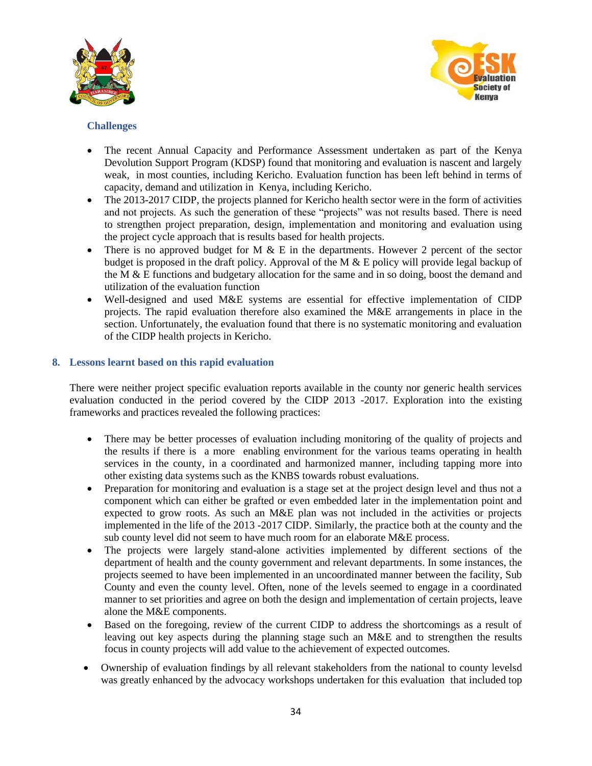



## <span id="page-33-0"></span>**Challenges**

- The recent Annual Capacity and Performance Assessment undertaken as part of the Kenya Devolution Support Program (KDSP) found that monitoring and evaluation is nascent and largely weak, in most counties, including Kericho. Evaluation function has been left behind in terms of capacity, demand and utilization in Kenya, including Kericho.
- The 2013-2017 CIDP, the projects planned for Kericho health sector were in the form of activities and not projects. As such the generation of these "projects" was not results based. There is need to strengthen project preparation, design, implementation and monitoring and evaluation using the project cycle approach that is results based for health projects.
- There is no approved budget for M  $\&$  E in the departments. However 2 percent of the sector budget is proposed in the draft policy. Approval of the M & E policy will provide legal backup of the M  $\&$  E functions and budgetary allocation for the same and in so doing, boost the demand and utilization of the evaluation function
- Well-designed and used M&E systems are essential for effective implementation of CIDP projects. The rapid evaluation therefore also examined the M&E arrangements in place in the section. Unfortunately, the evaluation found that there is no systematic monitoring and evaluation of the CIDP health projects in Kericho.

## <span id="page-33-1"></span>**8. Lessons learnt based on this rapid evaluation**

There were neither project specific evaluation reports available in the county nor generic health services evaluation conducted in the period covered by the CIDP 2013 -2017. Exploration into the existing frameworks and practices revealed the following practices:

- There may be better processes of evaluation including monitoring of the quality of projects and the results if there is a more enabling environment for the various teams operating in health services in the county, in a coordinated and harmonized manner, including tapping more into other existing data systems such as the KNBS towards robust evaluations.
- Preparation for monitoring and evaluation is a stage set at the project design level and thus not a component which can either be grafted or even embedded later in the implementation point and expected to grow roots. As such an M&E plan was not included in the activities or projects implemented in the life of the 2013 -2017 CIDP. Similarly, the practice both at the county and the sub county level did not seem to have much room for an elaborate M&E process.
- The projects were largely stand-alone activities implemented by different sections of the department of health and the county government and relevant departments. In some instances, the projects seemed to have been implemented in an uncoordinated manner between the facility, Sub County and even the county level. Often, none of the levels seemed to engage in a coordinated manner to set priorities and agree on both the design and implementation of certain projects, leave alone the M&E components.
- Based on the foregoing, review of the current CIDP to address the shortcomings as a result of leaving out key aspects during the planning stage such an M&E and to strengthen the results focus in county projects will add value to the achievement of expected outcomes.
- Ownership of evaluation findings by all relevant stakeholders from the national to county levelsd was greatly enhanced by the advocacy workshops undertaken for this evaluation that included top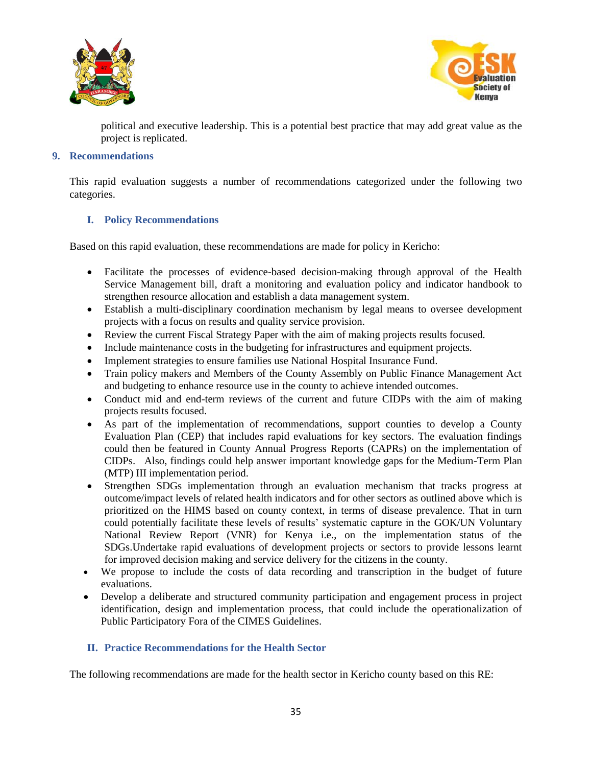



political and executive leadership. This is a potential best practice that may add great value as the project is replicated.

#### <span id="page-34-0"></span>**9. Recommendations**

This rapid evaluation suggests a number of recommendations categorized under the following two categories.

#### <span id="page-34-1"></span>**I. Policy Recommendations**

Based on this rapid evaluation, these recommendations are made for policy in Kericho:

- Facilitate the processes of evidence-based decision-making through approval of the Health Service Management bill, draft a monitoring and evaluation policy and indicator handbook to strengthen resource allocation and establish a data management system.
- Establish a multi-disciplinary coordination mechanism by legal means to oversee development projects with a focus on results and quality service provision.
- Review the current Fiscal Strategy Paper with the aim of making projects results focused.
- Include maintenance costs in the budgeting for infrastructures and equipment projects.
- Implement strategies to ensure families use National Hospital Insurance Fund.
- Train policy makers and Members of the County Assembly on Public Finance Management Act and budgeting to enhance resource use in the county to achieve intended outcomes.
- Conduct mid and end-term reviews of the current and future CIDPs with the aim of making projects results focused.
- As part of the implementation of recommendations, support counties to develop a County Evaluation Plan (CEP) that includes rapid evaluations for key sectors. The evaluation findings could then be featured in County Annual Progress Reports (CAPRs) on the implementation of CIDPs. Also, findings could help answer important knowledge gaps for the Medium-Term Plan (MTP) III implementation period.
- Strengthen SDGs implementation through an evaluation mechanism that tracks progress at outcome/impact levels of related health indicators and for other sectors as outlined above which is prioritized on the HIMS based on county context, in terms of disease prevalence. That in turn could potentially facilitate these levels of results' systematic capture in the GOK/UN Voluntary National Review Report (VNR) for Kenya i.e., on the implementation status of the SDGs.Undertake rapid evaluations of development projects or sectors to provide lessons learnt for improved decision making and service delivery for the citizens in the county.
- We propose to include the costs of data recording and transcription in the budget of future evaluations.
- Develop a deliberate and structured community participation and engagement process in project identification, design and implementation process, that could include the operationalization of Public Participatory Fora of the CIMES Guidelines.

#### <span id="page-34-2"></span>**II. Practice Recommendations for the Health Sector**

The following recommendations are made for the health sector in Kericho county based on this RE: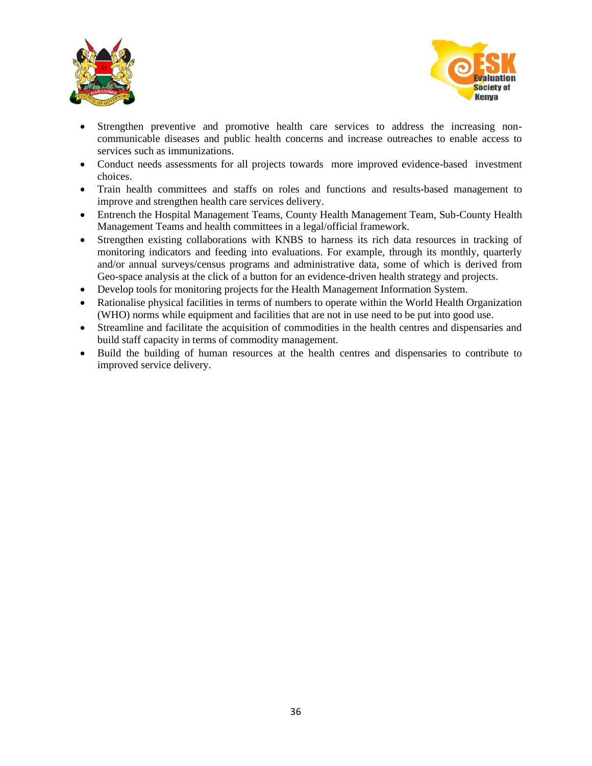



- Strengthen preventive and promotive health care services to address the increasing noncommunicable diseases and public health concerns and increase outreaches to enable access to services such as immunizations.
- Conduct needs assessments for all projects towards more improved evidence-based investment choices.
- Train health committees and staffs on roles and functions and results-based management to improve and strengthen health care services delivery.
- Entrench the Hospital Management Teams, County Health Management Team, Sub-County Health Management Teams and health committees in a legal/official framework.
- Strengthen existing collaborations with KNBS to harness its rich data resources in tracking of monitoring indicators and feeding into evaluations. For example, through its monthly, quarterly and/or annual surveys/census programs and administrative data, some of which is derived from Geo-space analysis at the click of a button for an evidence-driven health strategy and projects.
- Develop tools for monitoring projects for the Health Management Information System.
- Rationalise physical facilities in terms of numbers to operate within the World Health Organization (WHO) norms while equipment and facilities that are not in use need to be put into good use.
- Streamline and facilitate the acquisition of commodities in the health centres and dispensaries and build staff capacity in terms of commodity management.
- Build the building of human resources at the health centres and dispensaries to contribute to improved service delivery.